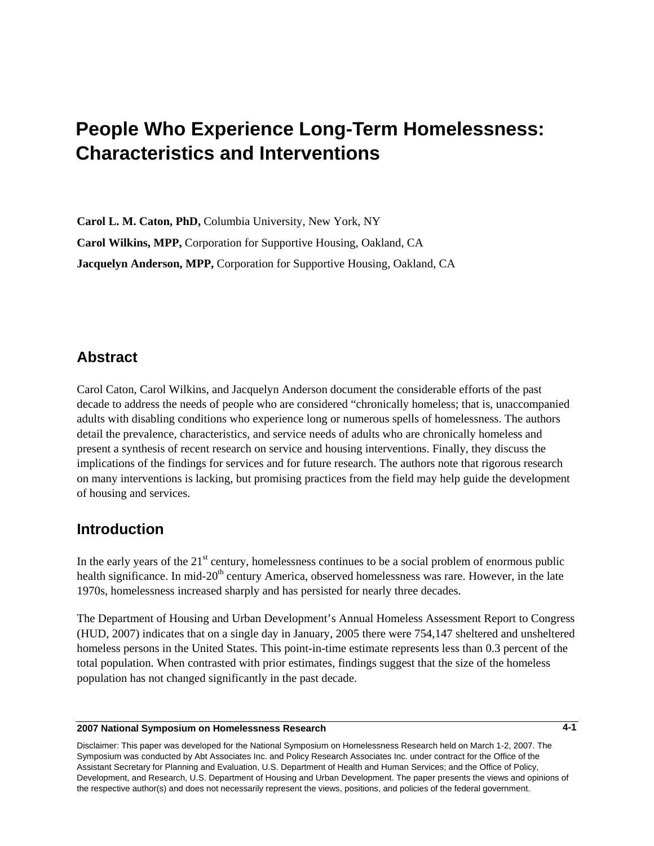# **4- People Who Experience Long-Term Homelessness: Characteristics and Interventions**

**Carol L. M. Caton, PhD,** Columbia University, New York, NY **Carol Wilkins, MPP,** Corporation for Supportive Housing, Oakland, CA **Jacquelyn Anderson, MPP,** Corporation for Supportive Housing, Oakland, CA

# **Abstract**

Carol Caton, Carol Wilkins, and Jacquelyn Anderson document the considerable efforts of the past decade to address the needs of people who are considered "chronically homeless; that is, unaccompanied adults with disabling conditions who experience long or numerous spells of homelessness. The authors detail the prevalence, characteristics, and service needs of adults who are chronically homeless and present a synthesis of recent research on service and housing interventions. Finally, they discuss the implications of the findings for services and for future research. The authors note that rigorous research on many interventions is lacking, but promising practices from the field may help guide the development of housing and services.

# **Introduction**

In the early years of the  $21<sup>st</sup>$  century, homelessness continues to be a social problem of enormous public health significance. In mid-20<sup>th</sup> century America, observed homelessness was rare. However, in the late 1970s, homelessness increased sharply and has persisted for nearly three decades.

The Department of Housing and Urban Development's Annual Homeless Assessment Report to Congress (HUD, 2007) indicates that on a single day in January, 2005 there were 754,147 sheltered and unsheltered homeless persons in the United States. This point-in-time estimate represents less than 0.3 percent of the total population. When contrasted with prior estimates, findings suggest that the size of the homeless population has not changed significantly in the past decade.

#### **2007 National Symposium on Homelessness Research**

Disclaimer: This paper was developed for the National Symposium on Homelessness Research held on March 1-2, 2007. The Symposium was conducted by Abt Associates Inc. and Policy Research Associates Inc. under contract for the Office of the Assistant Secretary for Planning and Evaluation, U.S. Department of Health and Human Services; and the Office of Policy, Development, and Research, U.S. Department of Housing and Urban Development. The paper presents the views and opinions of the respective author(s) and does not necessarily represent the views, positions, and policies of the federal government.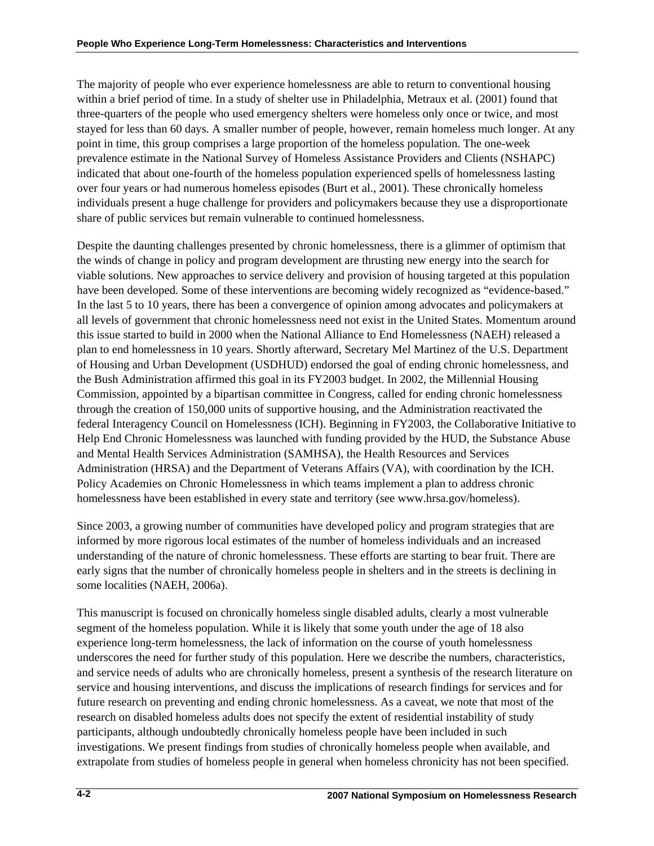The majority of people who ever experience homelessness are able to return to conventional housing within a brief period of time. In a study of shelter use in Philadelphia, Metraux et al. (2001) found that three-quarters of the people who used emergency shelters were homeless only once or twice, and most stayed for less than 60 days. A smaller number of people, however, remain homeless much longer. At any point in time, this group comprises a large proportion of the homeless population. The one-week prevalence estimate in the National Survey of Homeless Assistance Providers and Clients (NSHAPC) indicated that about one-fourth of the homeless population experienced spells of homelessness lasting over four years or had numerous homeless episodes (Burt et al., 2001). These chronically homeless individuals present a huge challenge for providers and policymakers because they use a disproportionate share of public services but remain vulnerable to continued homelessness.

Despite the daunting challenges presented by chronic homelessness, there is a glimmer of optimism that the winds of change in policy and program development are thrusting new energy into the search for viable solutions. New approaches to service delivery and provision of housing targeted at this population have been developed. Some of these interventions are becoming widely recognized as "evidence-based." In the last 5 to 10 years, there has been a convergence of opinion among advocates and policymakers at all levels of government that chronic homelessness need not exist in the United States. Momentum around this issue started to build in 2000 when the National Alliance to End Homelessness (NAEH) released a plan to end homelessness in 10 years. Shortly afterward, Secretary Mel Martinez of the U.S. Department of Housing and Urban Development (USDHUD) endorsed the goal of ending chronic homelessness, and the Bush Administration affirmed this goal in its FY2003 budget. In 2002, the Millennial Housing Commission, appointed by a bipartisan committee in Congress, called for ending chronic homelessness through the creation of 150,000 units of supportive housing, and the Administration reactivated the federal Interagency Council on Homelessness (ICH). Beginning in FY2003, the Collaborative Initiative to Help End Chronic Homelessness was launched with funding provided by the HUD, the Substance Abuse and Mental Health Services Administration (SAMHSA), the Health Resources and Services Administration (HRSA) and the Department of Veterans Affairs (VA), with coordination by the ICH. Policy Academies on Chronic Homelessness in which teams implement a plan to address chronic homelessness have been established in every state and territory (see [www.hrsa.gov/homeless\)](http://www.hrsa.gov/homeless).

Since 2003, a growing number of communities have developed policy and program strategies that are informed by more rigorous local estimates of the number of homeless individuals and an increased understanding of the nature of chronic homelessness. These efforts are starting to bear fruit. There are early signs that the number of chronically homeless people in shelters and in the streets is declining in some localities (NAEH, 2006a).

This manuscript is focused on chronically homeless single disabled adults, clearly a most vulnerable segment of the homeless population. While it is likely that some youth under the age of 18 also experience long-term homelessness, the lack of information on the course of youth homelessness underscores the need for further study of this population. Here we describe the numbers, characteristics, and service needs of adults who are chronically homeless, present a synthesis of the research literature on service and housing interventions, and discuss the implications of research findings for services and for future research on preventing and ending chronic homelessness. As a caveat, we note that most of the research on disabled homeless adults does not specify the extent of residential instability of study participants, although undoubtedly chronically homeless people have been included in such investigations. We present findings from studies of chronically homeless people when available, and extrapolate from studies of homeless people in general when homeless chronicity has not been specified.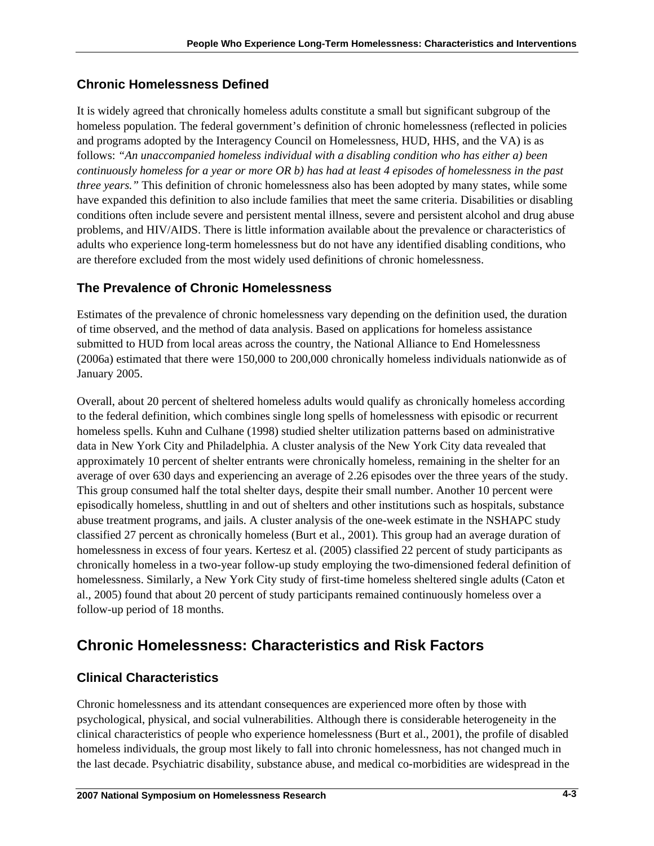# **Chronic Homelessness Defined**

It is widely agreed that chronically homeless adults constitute a small but significant subgroup of the homeless population. The federal government's definition of chronic homelessness (reflected in policies and programs adopted by the Interagency Council on Homelessness, HUD, HHS, and the VA) is as follows: *"An unaccompanied homeless individual with a disabling condition who has either a) been continuously homeless for a year or more OR b) has had at least 4 episodes of homelessness in the past three years."* This definition of chronic homelessness also has been adopted by many states, while some have expanded this definition to also include families that meet the same criteria. Disabilities or disabling conditions often include severe and persistent mental illness, severe and persistent alcohol and drug abuse problems, and HIV/AIDS. There is little information available about the prevalence or characteristics of adults who experience long-term homelessness but do not have any identified disabling conditions, who are therefore excluded from the most widely used definitions of chronic homelessness.

# **The Prevalence of Chronic Homelessness**

Estimates of the prevalence of chronic homelessness vary depending on the definition used, the duration of time observed, and the method of data analysis. Based on applications for homeless assistance submitted to HUD from local areas across the country, the National Alliance to End Homelessness (2006a) estimated that there were 150,000 to 200,000 chronically homeless individuals nationwide as of January 2005.

Overall, about 20 percent of sheltered homeless adults would qualify as chronically homeless according to the federal definition, which combines single long spells of homelessness with episodic or recurrent homeless spells. Kuhn and Culhane (1998) studied shelter utilization patterns based on administrative data in New York City and Philadelphia. A cluster analysis of the New York City data revealed that approximately 10 percent of shelter entrants were chronically homeless, remaining in the shelter for an average of over 630 days and experiencing an average of 2.26 episodes over the three years of the study. This group consumed half the total shelter days, despite their small number. Another 10 percent were episodically homeless, shuttling in and out of shelters and other institutions such as hospitals, substance abuse treatment programs, and jails. A cluster analysis of the one-week estimate in the NSHAPC study classified 27 percent as chronically homeless (Burt et al., 2001). This group had an average duration of homelessness in excess of four years. Kertesz et al. (2005) classified 22 percent of study participants as chronically homeless in a two-year follow-up study employing the two-dimensioned federal definition of homelessness. Similarly, a New York City study of first-time homeless sheltered single adults (Caton et al., 2005) found that about 20 percent of study participants remained continuously homeless over a follow-up period of 18 months.

# **Chronic Homelessness: Characteristics and Risk Factors**

# **Clinical Characteristics**

Chronic homelessness and its attendant consequences are experienced more often by those with psychological, physical, and social vulnerabilities. Although there is considerable heterogeneity in the clinical characteristics of people who experience homelessness (Burt et al., 2001), the profile of disabled homeless individuals, the group most likely to fall into chronic homelessness, has not changed much in the last decade. Psychiatric disability, substance abuse, and medical co-morbidities are widespread in the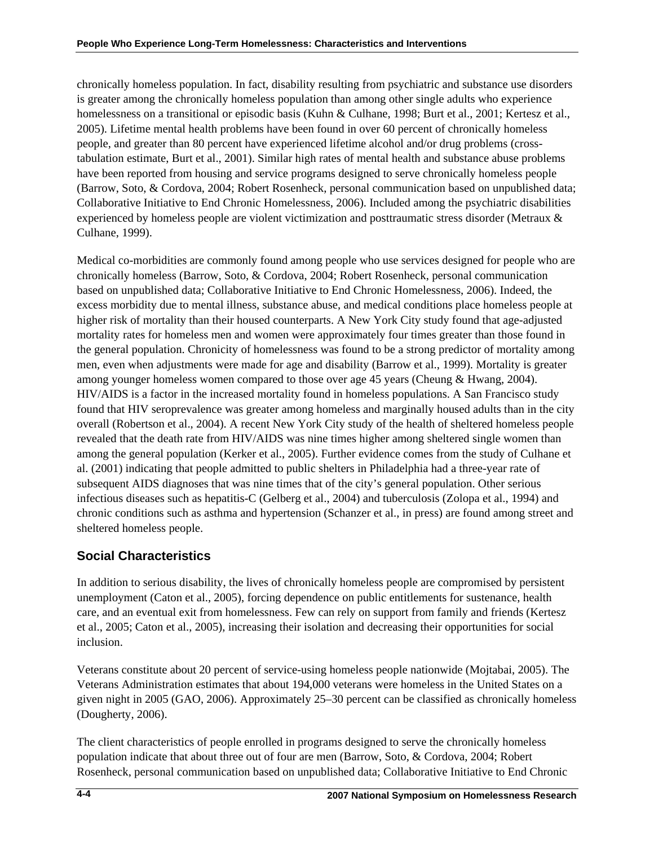chronically homeless population. In fact, disability resulting from psychiatric and substance use disorders is greater among the chronically homeless population than among other single adults who experience homelessness on a transitional or episodic basis (Kuhn & Culhane, 1998; Burt et al., 2001; Kertesz et al., 2005). Lifetime mental health problems have been found in over 60 percent of chronically homeless people, and greater than 80 percent have experienced lifetime alcohol and/or drug problems (crosstabulation estimate, Burt et al., 2001). Similar high rates of mental health and substance abuse problems have been reported from housing and service programs designed to serve chronically homeless people (Barrow, Soto, & Cordova, 2004; Robert Rosenheck, personal communication based on unpublished data; Collaborative Initiative to End Chronic Homelessness, 2006). Included among the psychiatric disabilities experienced by homeless people are violent victimization and posttraumatic stress disorder (Metraux & Culhane, 1999).

Medical co-morbidities are commonly found among people who use services designed for people who are chronically homeless (Barrow, Soto, & Cordova, 2004; Robert Rosenheck, personal communication based on unpublished data; Collaborative Initiative to End Chronic Homelessness, 2006). Indeed, the excess morbidity due to mental illness, substance abuse, and medical conditions place homeless people at higher risk of mortality than their housed counterparts. A New York City study found that age-adjusted mortality rates for homeless men and women were approximately four times greater than those found in the general population. Chronicity of homelessness was found to be a strong predictor of mortality among men, even when adjustments were made for age and disability (Barrow et al., 1999). Mortality is greater among younger homeless women compared to those over age 45 years (Cheung & Hwang, 2004). HIV/AIDS is a factor in the increased mortality found in homeless populations. A San Francisco study found that HIV seroprevalence was greater among homeless and marginally housed adults than in the city overall (Robertson et al., 2004). A recent New York City study of the health of sheltered homeless people revealed that the death rate from HIV/AIDS was nine times higher among sheltered single women than among the general population (Kerker et al., 2005). Further evidence comes from the study of Culhane et al. (2001) indicating that people admitted to public shelters in Philadelphia had a three-year rate of subsequent AIDS diagnoses that was nine times that of the city's general population. Other serious infectious diseases such as hepatitis-C (Gelberg et al., 2004) and tuberculosis (Zolopa et al., 1994) and chronic conditions such as asthma and hypertension (Schanzer et al., in press) are found among street and sheltered homeless people.

# **Social Characteristics**

In addition to serious disability, the lives of chronically homeless people are compromised by persistent unemployment (Caton et al., 2005), forcing dependence on public entitlements for sustenance, health care, and an eventual exit from homelessness. Few can rely on support from family and friends (Kertesz et al., 2005; Caton et al., 2005), increasing their isolation and decreasing their opportunities for social inclusion.

Veterans constitute about 20 percent of service-using homeless people nationwide (Mojtabai, 2005). The Veterans Administration estimates that about 194,000 veterans were homeless in the United States on a given night in 2005 (GAO, 2006). Approximately 25–30 percent can be classified as chronically homeless (Dougherty, 2006).

The client characteristics of people enrolled in programs designed to serve the chronically homeless population indicate that about three out of four are men (Barrow, Soto, & Cordova, 2004; Robert Rosenheck, personal communication based on unpublished data; Collaborative Initiative to End Chronic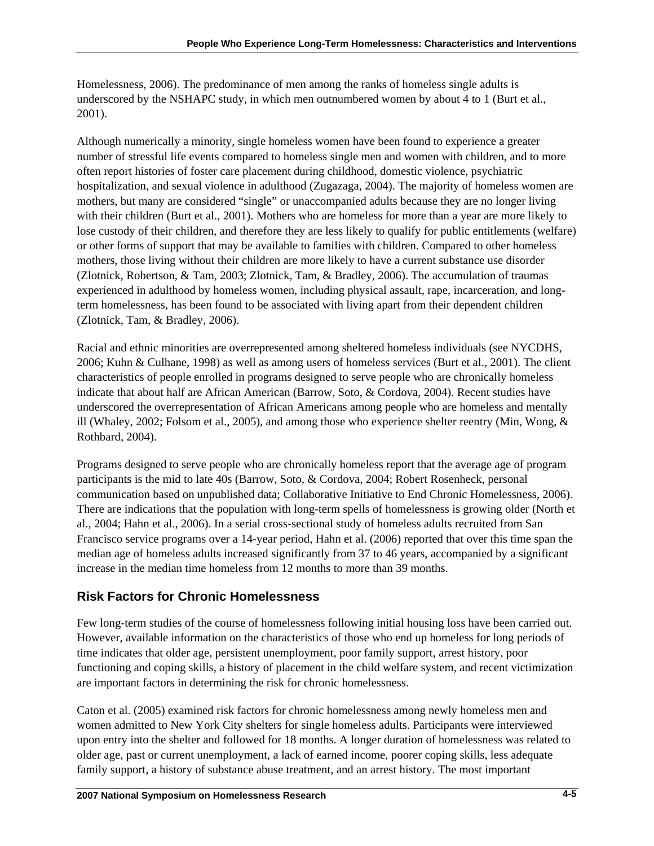Homelessness, 2006). The predominance of men among the ranks of homeless single adults is underscored by the NSHAPC study, in which men outnumbered women by about 4 to 1 (Burt et al., 2001).

Although numerically a minority, single homeless women have been found to experience a greater number of stressful life events compared to homeless single men and women with children, and to more often report histories of foster care placement during childhood, domestic violence, psychiatric hospitalization, and sexual violence in adulthood (Zugazaga, 2004). The majority of homeless women are mothers, but many are considered "single" or unaccompanied adults because they are no longer living with their children (Burt et al., 2001). Mothers who are homeless for more than a year are more likely to lose custody of their children, and therefore they are less likely to qualify for public entitlements (welfare) or other forms of support that may be available to families with children. Compared to other homeless mothers, those living without their children are more likely to have a current substance use disorder (Zlotnick, Robertson, & Tam, 2003; Zlotnick, Tam, & Bradley, 2006). The accumulation of traumas experienced in adulthood by homeless women, including physical assault, rape, incarceration, and longterm homelessness, has been found to be associated with living apart from their dependent children (Zlotnick, Tam, & Bradley, 2006).

Racial and ethnic minorities are overrepresented among sheltered homeless individuals (see NYCDHS, 2006; Kuhn & Culhane, 1998) as well as among users of homeless services (Burt et al., 2001). The client characteristics of people enrolled in programs designed to serve people who are chronically homeless indicate that about half are African American (Barrow, Soto, & Cordova, 2004). Recent studies have underscored the overrepresentation of African Americans among people who are homeless and mentally ill (Whaley, 2002; Folsom et al., 2005), and among those who experience shelter reentry (Min, Wong, & Rothbard, 2004).

Programs designed to serve people who are chronically homeless report that the average age of program participants is the mid to late 40s (Barrow, Soto, & Cordova, 2004; Robert Rosenheck, personal communication based on unpublished data; Collaborative Initiative to End Chronic Homelessness, 2006). There are indications that the population with long-term spells of homelessness is growing older (North et al., 2004; Hahn et al., 2006). In a serial cross-sectional study of homeless adults recruited from San Francisco service programs over a 14-year period, Hahn et al. (2006) reported that over this time span the median age of homeless adults increased significantly from 37 to 46 years, accompanied by a significant increase in the median time homeless from 12 months to more than 39 months.

# **Risk Factors for Chronic Homelessness**

Few long-term studies of the course of homelessness following initial housing loss have been carried out. However, available information on the characteristics of those who end up homeless for long periods of time indicates that older age, persistent unemployment, poor family support, arrest history, poor functioning and coping skills, a history of placement in the child welfare system, and recent victimization are important factors in determining the risk for chronic homelessness.

Caton et al. (2005) examined risk factors for chronic homelessness among newly homeless men and women admitted to New York City shelters for single homeless adults. Participants were interviewed upon entry into the shelter and followed for 18 months. A longer duration of homelessness was related to older age, past or current unemployment, a lack of earned income, poorer coping skills, less adequate family support, a history of substance abuse treatment, and an arrest history. The most important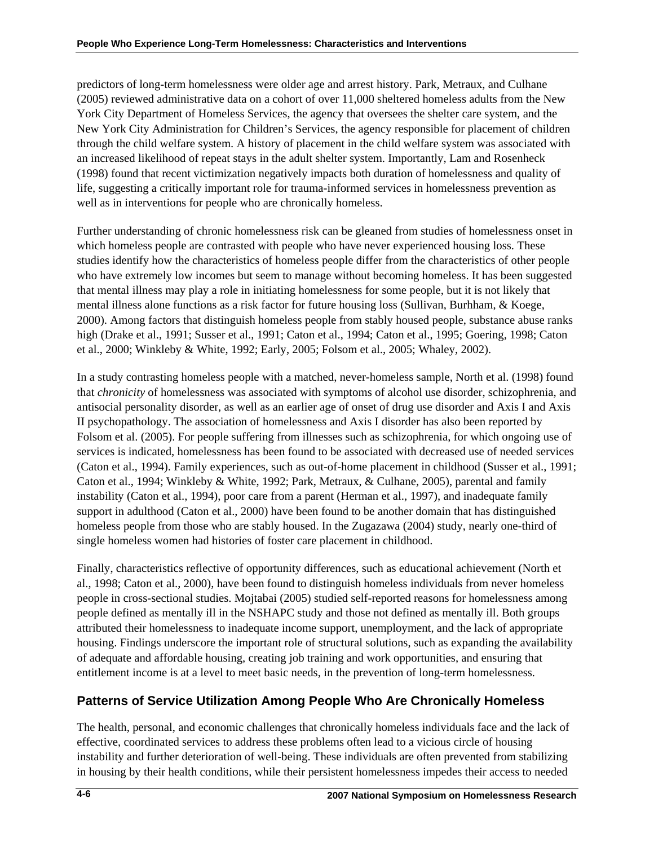predictors of long-term homelessness were older age and arrest history. Park, Metraux, and Culhane (2005) reviewed administrative data on a cohort of over 11,000 sheltered homeless adults from the New York City Department of Homeless Services, the agency that oversees the shelter care system, and the New York City Administration for Children's Services, the agency responsible for placement of children through the child welfare system. A history of placement in the child welfare system was associated with an increased likelihood of repeat stays in the adult shelter system. Importantly, Lam and Rosenheck (1998) found that recent victimization negatively impacts both duration of homelessness and quality of life, suggesting a critically important role for trauma-informed services in homelessness prevention as well as in interventions for people who are chronically homeless.

Further understanding of chronic homelessness risk can be gleaned from studies of homelessness onset in which homeless people are contrasted with people who have never experienced housing loss. These studies identify how the characteristics of homeless people differ from the characteristics of other people who have extremely low incomes but seem to manage without becoming homeless. It has been suggested that mental illness may play a role in initiating homelessness for some people, but it is not likely that mental illness alone functions as a risk factor for future housing loss (Sullivan, Burhham, & Koege, 2000). Among factors that distinguish homeless people from stably housed people, substance abuse ranks high (Drake et al., 1991; Susser et al., 1991; Caton et al., 1994; Caton et al., 1995; Goering, 1998; Caton et al., 2000; Winkleby & White, 1992; Early, 2005; Folsom et al., 2005; Whaley, 2002).

In a study contrasting homeless people with a matched, never-homeless sample, North et al. (1998) found that *chronicity* of homelessness was associated with symptoms of alcohol use disorder, schizophrenia, and antisocial personality disorder, as well as an earlier age of onset of drug use disorder and Axis I and Axis II psychopathology. The association of homelessness and Axis I disorder has also been reported by Folsom et al. (2005). For people suffering from illnesses such as schizophrenia, for which ongoing use of services is indicated, homelessness has been found to be associated with decreased use of needed services (Caton et al., 1994). Family experiences, such as out-of-home placement in childhood (Susser et al., 1991; Caton et al., 1994; Winkleby & White, 1992; Park, Metraux, & Culhane, 2005), parental and family instability (Caton et al., 1994), poor care from a parent (Herman et al., 1997), and inadequate family support in adulthood (Caton et al., 2000) have been found to be another domain that has distinguished homeless people from those who are stably housed. In the Zugazawa (2004) study, nearly one-third of single homeless women had histories of foster care placement in childhood.

Finally, characteristics reflective of opportunity differences, such as educational achievement (North et al., 1998; Caton et al., 2000), have been found to distinguish homeless individuals from never homeless people in cross-sectional studies. Mojtabai (2005) studied self-reported reasons for homelessness among people defined as mentally ill in the NSHAPC study and those not defined as mentally ill. Both groups attributed their homelessness to inadequate income support, unemployment, and the lack of appropriate housing. Findings underscore the important role of structural solutions, such as expanding the availability of adequate and affordable housing, creating job training and work opportunities, and ensuring that entitlement income is at a level to meet basic needs, in the prevention of long-term homelessness.

# **Patterns of Service Utilization Among People Who Are Chronically Homeless**

The health, personal, and economic challenges that chronically homeless individuals face and the lack of effective, coordinated services to address these problems often lead to a vicious circle of housing instability and further deterioration of well-being. These individuals are often prevented from stabilizing in housing by their health conditions, while their persistent homelessness impedes their access to needed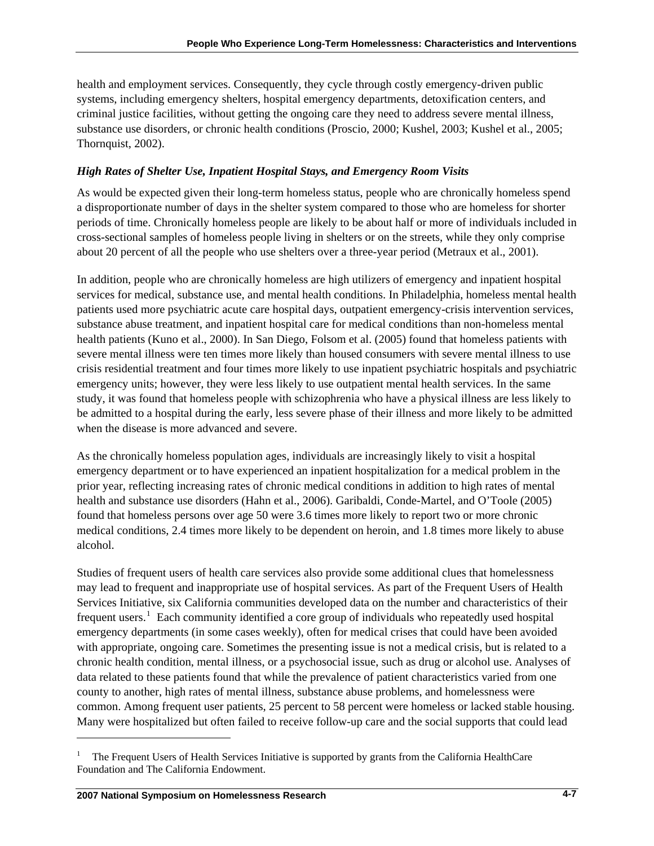<span id="page-6-0"></span>health and employment services. Consequently, they cycle through costly emergency-driven public systems, including emergency shelters, hospital emergency departments, detoxification centers, and criminal justice facilities, without getting the ongoing care they need to address severe mental illness, substance use disorders, or chronic health conditions (Proscio, 2000; Kushel, 2003; Kushel et al., 2005; Thornquist, 2002).

## *High Rates of Shelter Use, Inpatient Hospital Stays, and Emergency Room Visits*

As would be expected given their long-term homeless status, people who are chronically homeless spend a disproportionate number of days in the shelter system compared to those who are homeless for shorter periods of time. Chronically homeless people are likely to be about half or more of individuals included in cross-sectional samples of homeless people living in shelters or on the streets, while they only comprise about 20 percent of all the people who use shelters over a three-year period (Metraux et al., 2001).

In addition, people who are chronically homeless are high utilizers of emergency and inpatient hospital services for medical, substance use, and mental health conditions. In Philadelphia, homeless mental health patients used more psychiatric acute care hospital days, outpatient emergency-crisis intervention services, substance abuse treatment, and inpatient hospital care for medical conditions than non-homeless mental health patients (Kuno et al., 2000). In San Diego, Folsom et al. (2005) found that homeless patients with severe mental illness were ten times more likely than housed consumers with severe mental illness to use crisis residential treatment and four times more likely to use inpatient psychiatric hospitals and psychiatric emergency units; however, they were less likely to use outpatient mental health services. In the same study, it was found that homeless people with schizophrenia who have a physical illness are less likely to be admitted to a hospital during the early, less severe phase of their illness and more likely to be admitted when the disease is more advanced and severe.

As the chronically homeless population ages, individuals are increasingly likely to visit a hospital emergency department or to have experienced an inpatient hospitalization for a medical problem in the prior year, reflecting increasing rates of chronic medical conditions in addition to high rates of mental health and substance use disorders (Hahn et al., 2006). Garibaldi, Conde-Martel, and O'Toole (2005) found that homeless persons over age 50 were 3.6 times more likely to report two or more chronic medical conditions, 2.4 times more likely to be dependent on heroin, and 1.8 times more likely to abuse alcohol.

Studies of frequent users of health care services also provide some additional clues that homelessness may lead to frequent and inappropriate use of hospital services. As part of the Frequent Users of Health Services Initiative, six California communities developed data on the number and characteristics of their frequent users.<sup>[1](#page-6-0)</sup> Each community identified a core group of individuals who repeatedly used hospital emergency departments (in some cases weekly), often for medical crises that could have been avoided with appropriate, ongoing care. Sometimes the presenting issue is not a medical crisis, but is related to a chronic health condition, mental illness, or a psychosocial issue, such as drug or alcohol use. Analyses of data related to these patients found that while the prevalence of patient characteristics varied from one county to another, high rates of mental illness, substance abuse problems, and homelessness were common. Among frequent user patients, 25 percent to 58 percent were homeless or lacked stable housing. Many were hospitalized but often failed to receive follow-up care and the social supports that could lead

1

<sup>1</sup> The Frequent Users of Health Services Initiative is supported by grants from the California HealthCare Foundation and The California Endowment.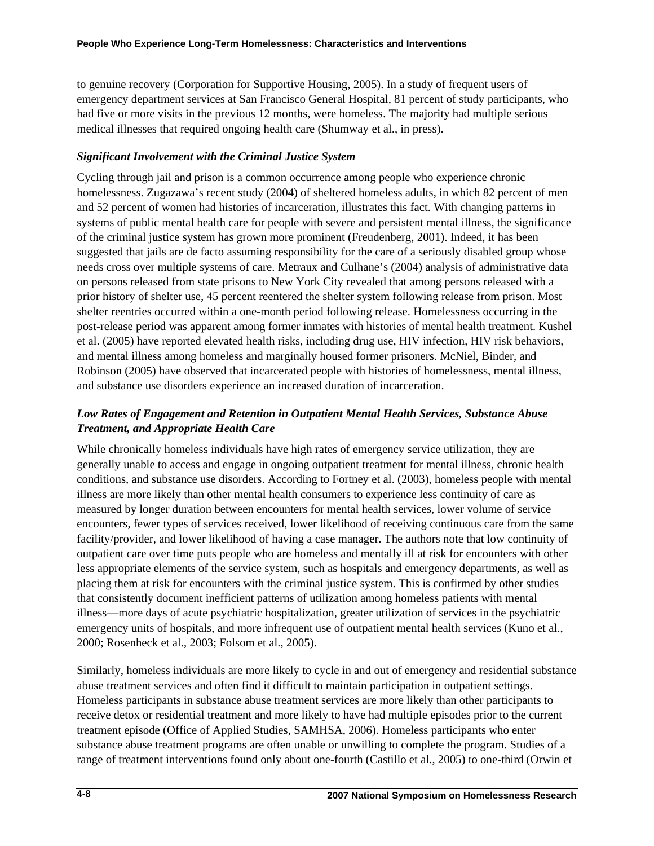to genuine recovery (Corporation for Supportive Housing, 2005). In a study of frequent users of emergency department services at San Francisco General Hospital, 81 percent of study participants, who had five or more visits in the previous 12 months, were homeless. The majority had multiple serious medical illnesses that required ongoing health care (Shumway et al., in press).

# *Significant Involvement with the Criminal Justice System*

Cycling through jail and prison is a common occurrence among people who experience chronic homelessness. Zugazawa's recent study (2004) of sheltered homeless adults, in which 82 percent of men and 52 percent of women had histories of incarceration, illustrates this fact. With changing patterns in systems of public mental health care for people with severe and persistent mental illness, the significance of the criminal justice system has grown more prominent (Freudenberg, 2001). Indeed, it has been suggested that jails are de facto assuming responsibility for the care of a seriously disabled group whose needs cross over multiple systems of care. Metraux and Culhane's (2004) analysis of administrative data on persons released from state prisons to New York City revealed that among persons released with a prior history of shelter use, 45 percent reentered the shelter system following release from prison. Most shelter reentries occurred within a one-month period following release. Homelessness occurring in the post-release period was apparent among former inmates with histories of mental health treatment. Kushel et al. (2005) have reported elevated health risks, including drug use, HIV infection, HIV risk behaviors, and mental illness among homeless and marginally housed former prisoners. McNiel, Binder, and Robinson (2005) have observed that incarcerated people with histories of homelessness, mental illness, and substance use disorders experience an increased duration of incarceration.

# *Low Rates of Engagement and Retention in Outpatient Mental Health Services, Substance Abuse Treatment, and Appropriate Health Care*

While chronically homeless individuals have high rates of emergency service utilization, they are generally unable to access and engage in ongoing outpatient treatment for mental illness, chronic health conditions, and substance use disorders. According to Fortney et al. (2003), homeless people with mental illness are more likely than other mental health consumers to experience less continuity of care as measured by longer duration between encounters for mental health services, lower volume of service encounters, fewer types of services received, lower likelihood of receiving continuous care from the same facility/provider, and lower likelihood of having a case manager. The authors note that low continuity of outpatient care over time puts people who are homeless and mentally ill at risk for encounters with other less appropriate elements of the service system, such as hospitals and emergency departments, as well as placing them at risk for encounters with the criminal justice system. This is confirmed by other studies that consistently document inefficient patterns of utilization among homeless patients with mental illness—more days of acute psychiatric hospitalization, greater utilization of services in the psychiatric emergency units of hospitals, and more infrequent use of outpatient mental health services (Kuno et al., 2000; Rosenheck et al., 2003; Folsom et al., 2005).

Similarly, homeless individuals are more likely to cycle in and out of emergency and residential substance abuse treatment services and often find it difficult to maintain participation in outpatient settings. Homeless participants in substance abuse treatment services are more likely than other participants to receive detox or residential treatment and more likely to have had multiple episodes prior to the current treatment episode (Office of Applied Studies, SAMHSA, 2006). Homeless participants who enter substance abuse treatment programs are often unable or unwilling to complete the program. Studies of a range of treatment interventions found only about one-fourth (Castillo et al., 2005) to one-third (Orwin et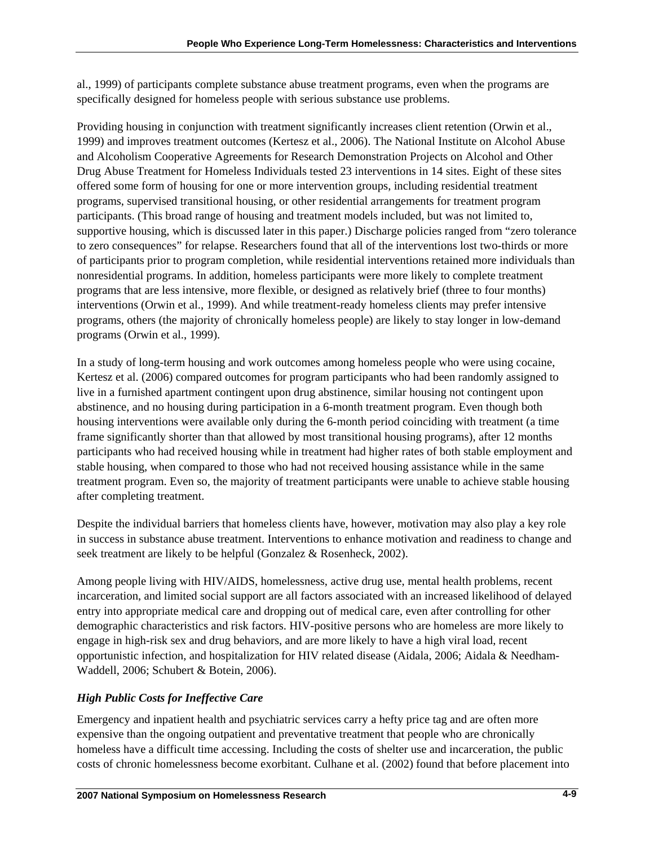al., 1999) of participants complete substance abuse treatment programs, even when the programs are specifically designed for homeless people with serious substance use problems.

Providing housing in conjunction with treatment significantly increases client retention (Orwin et al., 1999) and improves treatment outcomes (Kertesz et al., 2006). The National Institute on Alcohol Abuse and Alcoholism Cooperative Agreements for Research Demonstration Projects on Alcohol and Other Drug Abuse Treatment for Homeless Individuals tested 23 interventions in 14 sites. Eight of these sites offered some form of housing for one or more intervention groups, including residential treatment programs, supervised transitional housing, or other residential arrangements for treatment program participants. (This broad range of housing and treatment models included, but was not limited to, supportive housing, which is discussed later in this paper.) Discharge policies ranged from "zero tolerance to zero consequences" for relapse. Researchers found that all of the interventions lost two-thirds or more of participants prior to program completion, while residential interventions retained more individuals than nonresidential programs. In addition, homeless participants were more likely to complete treatment programs that are less intensive, more flexible, or designed as relatively brief (three to four months) interventions (Orwin et al., 1999). And while treatment-ready homeless clients may prefer intensive programs, others (the majority of chronically homeless people) are likely to stay longer in low-demand programs (Orwin et al., 1999).

In a study of long-term housing and work outcomes among homeless people who were using cocaine, Kertesz et al. (2006) compared outcomes for program participants who had been randomly assigned to live in a furnished apartment contingent upon drug abstinence, similar housing not contingent upon abstinence, and no housing during participation in a 6-month treatment program. Even though both housing interventions were available only during the 6-month period coinciding with treatment (a time frame significantly shorter than that allowed by most transitional housing programs), after 12 months participants who had received housing while in treatment had higher rates of both stable employment and stable housing, when compared to those who had not received housing assistance while in the same treatment program. Even so, the majority of treatment participants were unable to achieve stable housing after completing treatment.

Despite the individual barriers that homeless clients have, however, motivation may also play a key role in success in substance abuse treatment. Interventions to enhance motivation and readiness to change and seek treatment are likely to be helpful (Gonzalez & Rosenheck, 2002).

Among people living with HIV/AIDS, homelessness, active drug use, mental health problems, recent incarceration, and limited social support are all factors associated with an increased likelihood of delayed entry into appropriate medical care and dropping out of medical care, even after controlling for other demographic characteristics and risk factors. HIV-positive persons who are homeless are more likely to engage in high-risk sex and drug behaviors, and are more likely to have a high viral load, recent opportunistic infection, and hospitalization for HIV related disease (Aidala, 2006; Aidala & Needham-Waddell, 2006; Schubert & Botein, 2006).

# *High Public Costs for Ineffective Care*

Emergency and inpatient health and psychiatric services carry a hefty price tag and are often more expensive than the ongoing outpatient and preventative treatment that people who are chronically homeless have a difficult time accessing. Including the costs of shelter use and incarceration, the public costs of chronic homelessness become exorbitant. Culhane et al. (2002) found that before placement into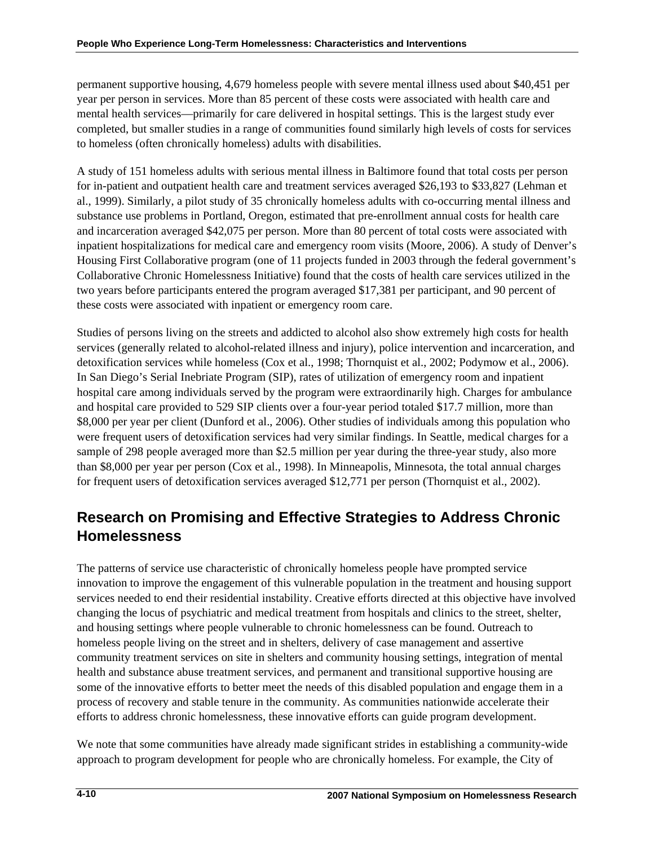permanent supportive housing, 4,679 homeless people with severe mental illness used about \$40,451 per year per person in services. More than 85 percent of these costs were associated with health care and mental health services—primarily for care delivered in hospital settings. This is the largest study ever completed, but smaller studies in a range of communities found similarly high levels of costs for services to homeless (often chronically homeless) adults with disabilities.

A study of 151 homeless adults with serious mental illness in Baltimore found that total costs per person for in-patient and outpatient health care and treatment services averaged \$26,193 to \$33,827 (Lehman et al., 1999). Similarly, a pilot study of 35 chronically homeless adults with co-occurring mental illness and substance use problems in Portland, Oregon, estimated that pre-enrollment annual costs for health care and incarceration averaged \$42,075 per person. More than 80 percent of total costs were associated with inpatient hospitalizations for medical care and emergency room visits (Moore, 2006). A study of Denver's Housing First Collaborative program (one of 11 projects funded in 2003 through the federal government's Collaborative Chronic Homelessness Initiative) found that the costs of health care services utilized in the two years before participants entered the program averaged \$17,381 per participant, and 90 percent of these costs were associated with inpatient or emergency room care.

Studies of persons living on the streets and addicted to alcohol also show extremely high costs for health services (generally related to alcohol-related illness and injury), police intervention and incarceration, and detoxification services while homeless (Cox et al., 1998; Thornquist et al., 2002; Podymow et al., 2006). In San Diego's Serial Inebriate Program (SIP), rates of utilization of emergency room and inpatient hospital care among individuals served by the program were extraordinarily high. Charges for ambulance and hospital care provided to 529 SIP clients over a four-year period totaled \$17.7 million, more than \$8,000 per year per client (Dunford et al., 2006). Other studies of individuals among this population who were frequent users of detoxification services had very similar findings. In Seattle, medical charges for a sample of 298 people averaged more than \$2.5 million per year during the three-year study, also more than \$8,000 per year per person (Cox et al., 1998). In Minneapolis, Minnesota, the total annual charges for frequent users of detoxification services averaged \$12,771 per person (Thornquist et al., 2002).

# **Research on Promising and Effective Strategies to Address Chronic Homelessness**

The patterns of service use characteristic of chronically homeless people have prompted service innovation to improve the engagement of this vulnerable population in the treatment and housing support services needed to end their residential instability. Creative efforts directed at this objective have involved changing the locus of psychiatric and medical treatment from hospitals and clinics to the street, shelter, and housing settings where people vulnerable to chronic homelessness can be found. Outreach to homeless people living on the street and in shelters, delivery of case management and assertive community treatment services on site in shelters and community housing settings, integration of mental health and substance abuse treatment services, and permanent and transitional supportive housing are some of the innovative efforts to better meet the needs of this disabled population and engage them in a process of recovery and stable tenure in the community. As communities nationwide accelerate their efforts to address chronic homelessness, these innovative efforts can guide program development.

We note that some communities have already made significant strides in establishing a community-wide approach to program development for people who are chronically homeless. For example, the City of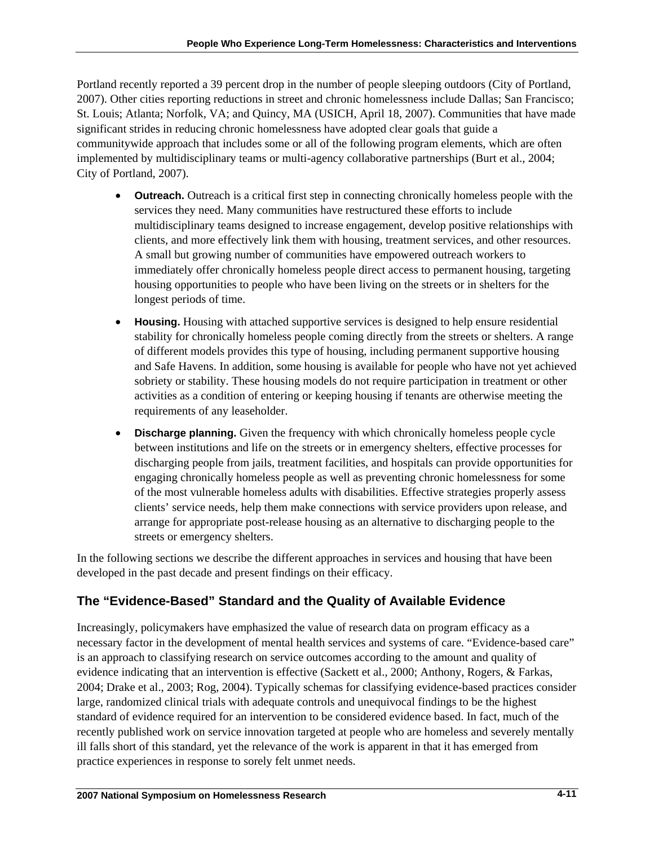Portland recently reported a 39 percent drop in the number of people sleeping outdoors (City of Portland, 2007). Other cities reporting reductions in street and chronic homelessness include Dallas; San Francisco; St. Louis; Atlanta; Norfolk, VA; and Quincy, MA (USICH, April 18, 2007). Communities that have made significant strides in reducing chronic homelessness have adopted clear goals that guide a communitywide approach that includes some or all of the following program elements, which are often implemented by multidisciplinary teams or multi-agency collaborative partnerships (Burt et al., 2004; City of Portland, 2007).

- **Outreach.** Outreach is a critical first step in connecting chronically homeless people with the services they need. Many communities have restructured these efforts to include multidisciplinary teams designed to increase engagement, develop positive relationships with clients, and more effectively link them with housing, treatment services, and other resources. A small but growing number of communities have empowered outreach workers to immediately offer chronically homeless people direct access to permanent housing, targeting housing opportunities to people who have been living on the streets or in shelters for the longest periods of time.
- **Housing.** Housing with attached supportive services is designed to help ensure residential stability for chronically homeless people coming directly from the streets or shelters. A range of different models provides this type of housing, including permanent supportive housing and Safe Havens. In addition, some housing is available for people who have not yet achieved sobriety or stability. These housing models do not require participation in treatment or other activities as a condition of entering or keeping housing if tenants are otherwise meeting the requirements of any leaseholder.
- **Discharge planning.** Given the frequency with which chronically homeless people cycle between institutions and life on the streets or in emergency shelters, effective processes for discharging people from jails, treatment facilities, and hospitals can provide opportunities for engaging chronically homeless people as well as preventing chronic homelessness for some of the most vulnerable homeless adults with disabilities. Effective strategies properly assess clients' service needs, help them make connections with service providers upon release, and arrange for appropriate post-release housing as an alternative to discharging people to the streets or emergency shelters.

In the following sections we describe the different approaches in services and housing that have been developed in the past decade and present findings on their efficacy.

# **The "Evidence-Based" Standard and the Quality of Available Evidence**

Increasingly, policymakers have emphasized the value of research data on program efficacy as a necessary factor in the development of mental health services and systems of care. "Evidence-based care" is an approach to classifying research on service outcomes according to the amount and quality of evidence indicating that an intervention is effective (Sackett et al., 2000; Anthony, Rogers, & Farkas, 2004; Drake et al., 2003; Rog, 2004). Typically schemas for classifying evidence-based practices consider large, randomized clinical trials with adequate controls and unequivocal findings to be the highest standard of evidence required for an intervention to be considered evidence based. In fact, much of the recently published work on service innovation targeted at people who are homeless and severely mentally ill falls short of this standard, yet the relevance of the work is apparent in that it has emerged from practice experiences in response to sorely felt unmet needs.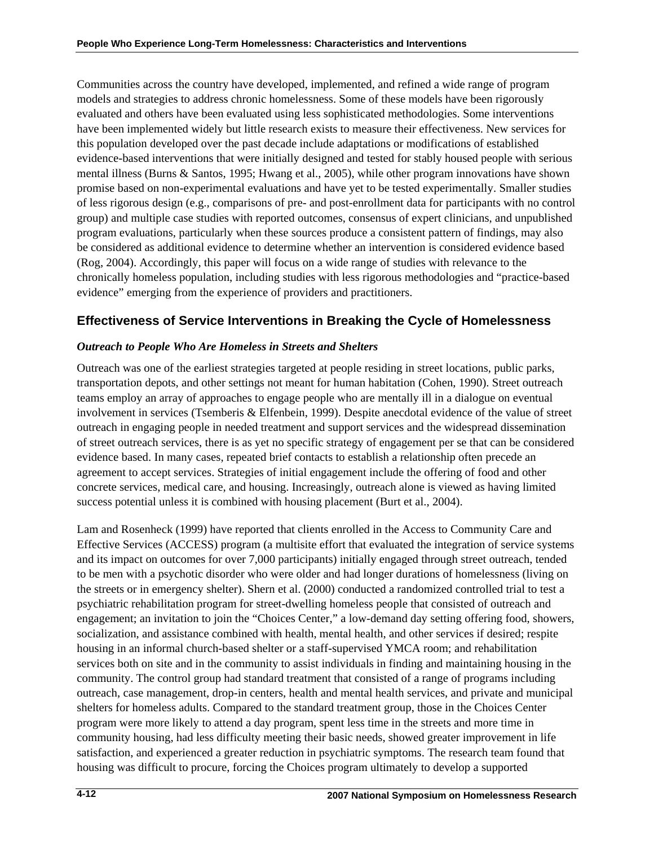Communities across the country have developed, implemented, and refined a wide range of program models and strategies to address chronic homelessness. Some of these models have been rigorously evaluated and others have been evaluated using less sophisticated methodologies. Some interventions have been implemented widely but little research exists to measure their effectiveness. New services for this population developed over the past decade include adaptations or modifications of established evidence-based interventions that were initially designed and tested for stably housed people with serious mental illness (Burns & Santos, 1995; Hwang et al., 2005), while other program innovations have shown promise based on non-experimental evaluations and have yet to be tested experimentally. Smaller studies of less rigorous design (e.g., comparisons of pre- and post-enrollment data for participants with no control group) and multiple case studies with reported outcomes, consensus of expert clinicians, and unpublished program evaluations, particularly when these sources produce a consistent pattern of findings, may also be considered as additional evidence to determine whether an intervention is considered evidence based (Rog, 2004). Accordingly, this paper will focus on a wide range of studies with relevance to the chronically homeless population, including studies with less rigorous methodologies and "practice-based evidence" emerging from the experience of providers and practitioners.

# **Effectiveness of Service Interventions in Breaking the Cycle of Homelessness**

# *Outreach to People Who Are Homeless in Streets and Shelters*

Outreach was one of the earliest strategies targeted at people residing in street locations, public parks, transportation depots, and other settings not meant for human habitation (Cohen, 1990). Street outreach teams employ an array of approaches to engage people who are mentally ill in a dialogue on eventual involvement in services (Tsemberis & Elfenbein, 1999). Despite anecdotal evidence of the value of street outreach in engaging people in needed treatment and support services and the widespread dissemination of street outreach services, there is as yet no specific strategy of engagement per se that can be considered evidence based. In many cases, repeated brief contacts to establish a relationship often precede an agreement to accept services. Strategies of initial engagement include the offering of food and other concrete services, medical care, and housing. Increasingly, outreach alone is viewed as having limited success potential unless it is combined with housing placement (Burt et al., 2004).

Lam and Rosenheck (1999) have reported that clients enrolled in the Access to Community Care and Effective Services (ACCESS) program (a multisite effort that evaluated the integration of service systems and its impact on outcomes for over 7,000 participants) initially engaged through street outreach, tended to be men with a psychotic disorder who were older and had longer durations of homelessness (living on the streets or in emergency shelter). Shern et al. (2000) conducted a randomized controlled trial to test a psychiatric rehabilitation program for street-dwelling homeless people that consisted of outreach and engagement; an invitation to join the "Choices Center," a low-demand day setting offering food, showers, socialization, and assistance combined with health, mental health, and other services if desired; respite housing in an informal church-based shelter or a staff-supervised YMCA room; and rehabilitation services both on site and in the community to assist individuals in finding and maintaining housing in the community. The control group had standard treatment that consisted of a range of programs including outreach, case management, drop-in centers, health and mental health services, and private and municipal shelters for homeless adults. Compared to the standard treatment group, those in the Choices Center program were more likely to attend a day program, spent less time in the streets and more time in community housing, had less difficulty meeting their basic needs, showed greater improvement in life satisfaction, and experienced a greater reduction in psychiatric symptoms. The research team found that housing was difficult to procure, forcing the Choices program ultimately to develop a supported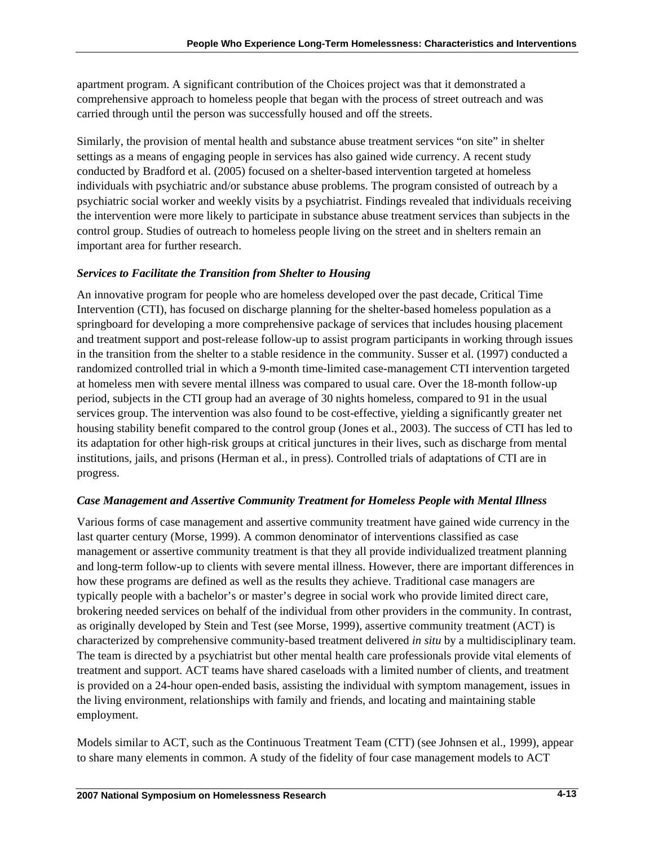apartment program. A significant contribution of the Choices project was that it demonstrated a comprehensive approach to homeless people that began with the process of street outreach and was carried through until the person was successfully housed and off the streets.

Similarly, the provision of mental health and substance abuse treatment services "on site" in shelter settings as a means of engaging people in services has also gained wide currency. A recent study conducted by Bradford et al. (2005) focused on a shelter-based intervention targeted at homeless individuals with psychiatric and/or substance abuse problems. The program consisted of outreach by a psychiatric social worker and weekly visits by a psychiatrist. Findings revealed that individuals receiving the intervention were more likely to participate in substance abuse treatment services than subjects in the control group. Studies of outreach to homeless people living on the street and in shelters remain an important area for further research.

## *Services to Facilitate the Transition from Shelter to Housing*

An innovative program for people who are homeless developed over the past decade, Critical Time Intervention (CTI), has focused on discharge planning for the shelter-based homeless population as a springboard for developing a more comprehensive package of services that includes housing placement and treatment support and post-release follow-up to assist program participants in working through issues in the transition from the shelter to a stable residence in the community. Susser et al. (1997) conducted a randomized controlled trial in which a 9-month time-limited case-management CTI intervention targeted at homeless men with severe mental illness was compared to usual care. Over the 18-month follow-up period, subjects in the CTI group had an average of 30 nights homeless, compared to 91 in the usual services group. The intervention was also found to be cost-effective, yielding a significantly greater net housing stability benefit compared to the control group (Jones et al., 2003). The success of CTI has led to its adaptation for other high-risk groups at critical junctures in their lives, such as discharge from mental institutions, jails, and prisons (Herman et al., in press). Controlled trials of adaptations of CTI are in progress.

## *Case Management and Assertive Community Treatment for Homeless People with Mental Illness*

Various forms of case management and assertive community treatment have gained wide currency in the last quarter century (Morse, 1999). A common denominator of interventions classified as case management or assertive community treatment is that they all provide individualized treatment planning and long-term follow-up to clients with severe mental illness. However, there are important differences in how these programs are defined as well as the results they achieve. Traditional case managers are typically people with a bachelor's or master's degree in social work who provide limited direct care, brokering needed services on behalf of the individual from other providers in the community. In contrast, as originally developed by Stein and Test (see Morse, 1999), assertive community treatment (ACT) is characterized by comprehensive community-based treatment delivered *in situ* by a multidisciplinary team. The team is directed by a psychiatrist but other mental health care professionals provide vital elements of treatment and support. ACT teams have shared caseloads with a limited number of clients, and treatment is provided on a 24-hour open-ended basis, assisting the individual with symptom management, issues in the living environment, relationships with family and friends, and locating and maintaining stable employment.

Models similar to ACT, such as the Continuous Treatment Team (CTT) (see Johnsen et al., 1999), appear to share many elements in common. A study of the fidelity of four case management models to ACT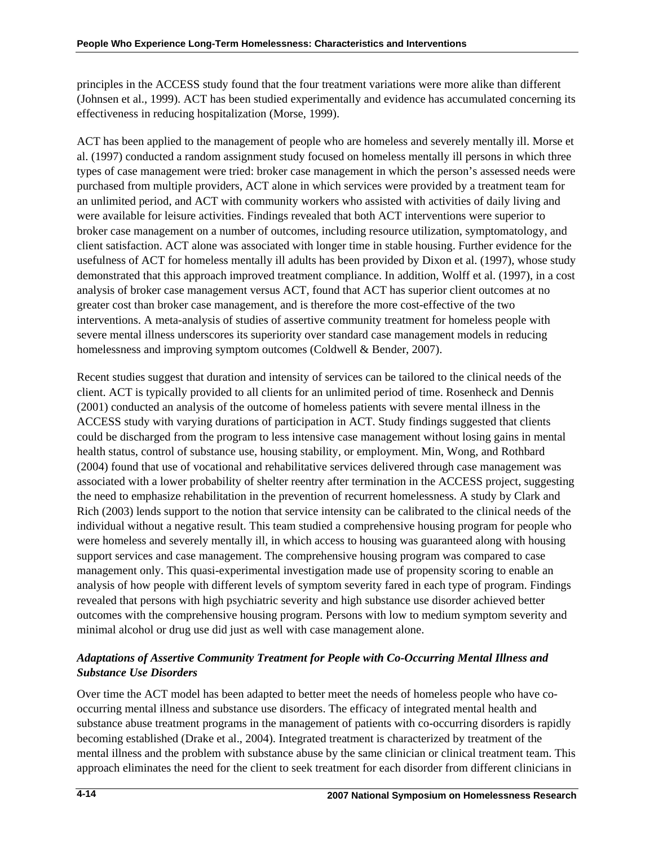principles in the ACCESS study found that the four treatment variations were more alike than different (Johnsen et al., 1999). ACT has been studied experimentally and evidence has accumulated concerning its effectiveness in reducing hospitalization (Morse, 1999).

ACT has been applied to the management of people who are homeless and severely mentally ill. Morse et al. (1997) conducted a random assignment study focused on homeless mentally ill persons in which three types of case management were tried: broker case management in which the person's assessed needs were purchased from multiple providers, ACT alone in which services were provided by a treatment team for an unlimited period, and ACT with community workers who assisted with activities of daily living and were available for leisure activities. Findings revealed that both ACT interventions were superior to broker case management on a number of outcomes, including resource utilization, symptomatology, and client satisfaction. ACT alone was associated with longer time in stable housing. Further evidence for the usefulness of ACT for homeless mentally ill adults has been provided by Dixon et al. (1997), whose study demonstrated that this approach improved treatment compliance. In addition, Wolff et al. (1997), in a cost analysis of broker case management versus ACT, found that ACT has superior client outcomes at no greater cost than broker case management, and is therefore the more cost-effective of the two interventions. A meta-analysis of studies of assertive community treatment for homeless people with severe mental illness underscores its superiority over standard case management models in reducing homelessness and improving symptom outcomes (Coldwell & Bender, 2007).

Recent studies suggest that duration and intensity of services can be tailored to the clinical needs of the client. ACT is typically provided to all clients for an unlimited period of time. Rosenheck and Dennis (2001) conducted an analysis of the outcome of homeless patients with severe mental illness in the ACCESS study with varying durations of participation in ACT. Study findings suggested that clients could be discharged from the program to less intensive case management without losing gains in mental health status, control of substance use, housing stability, or employment. Min, Wong, and Rothbard (2004) found that use of vocational and rehabilitative services delivered through case management was associated with a lower probability of shelter reentry after termination in the ACCESS project, suggesting the need to emphasize rehabilitation in the prevention of recurrent homelessness. A study by Clark and Rich (2003) lends support to the notion that service intensity can be calibrated to the clinical needs of the individual without a negative result. This team studied a comprehensive housing program for people who were homeless and severely mentally ill, in which access to housing was guaranteed along with housing support services and case management. The comprehensive housing program was compared to case management only. This quasi-experimental investigation made use of propensity scoring to enable an analysis of how people with different levels of symptom severity fared in each type of program. Findings revealed that persons with high psychiatric severity and high substance use disorder achieved better outcomes with the comprehensive housing program. Persons with low to medium symptom severity and minimal alcohol or drug use did just as well with case management alone.

# *Adaptations of Assertive Community Treatment for People with Co-Occurring Mental Illness and Substance Use Disorders*

Over time the ACT model has been adapted to better meet the needs of homeless people who have cooccurring mental illness and substance use disorders. The efficacy of integrated mental health and substance abuse treatment programs in the management of patients with co-occurring disorders is rapidly becoming established (Drake et al., 2004). Integrated treatment is characterized by treatment of the mental illness and the problem with substance abuse by the same clinician or clinical treatment team. This approach eliminates the need for the client to seek treatment for each disorder from different clinicians in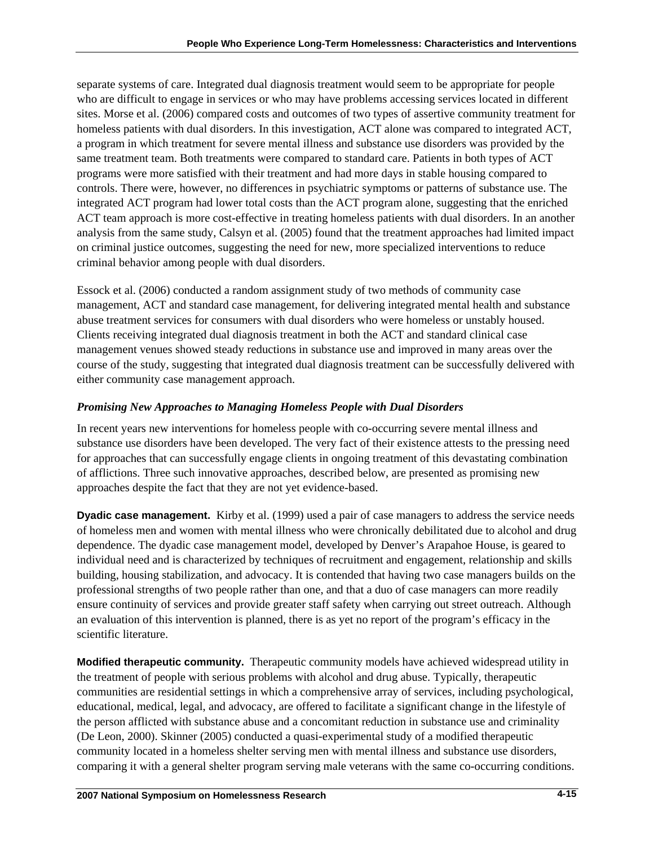separate systems of care. Integrated dual diagnosis treatment would seem to be appropriate for people who are difficult to engage in services or who may have problems accessing services located in different sites. Morse et al. (2006) compared costs and outcomes of two types of assertive community treatment for homeless patients with dual disorders. In this investigation, ACT alone was compared to integrated ACT, a program in which treatment for severe mental illness and substance use disorders was provided by the same treatment team. Both treatments were compared to standard care. Patients in both types of ACT programs were more satisfied with their treatment and had more days in stable housing compared to controls. There were, however, no differences in psychiatric symptoms or patterns of substance use. The integrated ACT program had lower total costs than the ACT program alone, suggesting that the enriched ACT team approach is more cost-effective in treating homeless patients with dual disorders. In an another analysis from the same study, Calsyn et al. (2005) found that the treatment approaches had limited impact on criminal justice outcomes, suggesting the need for new, more specialized interventions to reduce criminal behavior among people with dual disorders.

Essock et al. (2006) conducted a random assignment study of two methods of community case management, ACT and standard case management, for delivering integrated mental health and substance abuse treatment services for consumers with dual disorders who were homeless or unstably housed. Clients receiving integrated dual diagnosis treatment in both the ACT and standard clinical case management venues showed steady reductions in substance use and improved in many areas over the course of the study, suggesting that integrated dual diagnosis treatment can be successfully delivered with either community case management approach.

# *Promising New Approaches to Managing Homeless People with Dual Disorders*

In recent years new interventions for homeless people with co-occurring severe mental illness and substance use disorders have been developed. The very fact of their existence attests to the pressing need for approaches that can successfully engage clients in ongoing treatment of this devastating combination of afflictions. Three such innovative approaches, described below, are presented as promising new approaches despite the fact that they are not yet evidence-based.

**Dyadic case management.** Kirby et al. (1999) used a pair of case managers to address the service needs of homeless men and women with mental illness who were chronically debilitated due to alcohol and drug dependence. The dyadic case management model, developed by Denver's Arapahoe House, is geared to individual need and is characterized by techniques of recruitment and engagement, relationship and skills building, housing stabilization, and advocacy. It is contended that having two case managers builds on the professional strengths of two people rather than one, and that a duo of case managers can more readily ensure continuity of services and provide greater staff safety when carrying out street outreach. Although an evaluation of this intervention is planned, there is as yet no report of the program's efficacy in the scientific literature.

**Modified therapeutic community.** Therapeutic community models have achieved widespread utility in the treatment of people with serious problems with alcohol and drug abuse. Typically, therapeutic communities are residential settings in which a comprehensive array of services, including psychological, educational, medical, legal, and advocacy, are offered to facilitate a significant change in the lifestyle of the person afflicted with substance abuse and a concomitant reduction in substance use and criminality (De Leon, 2000). Skinner (2005) conducted a quasi-experimental study of a modified therapeutic community located in a homeless shelter serving men with mental illness and substance use disorders, comparing it with a general shelter program serving male veterans with the same co-occurring conditions.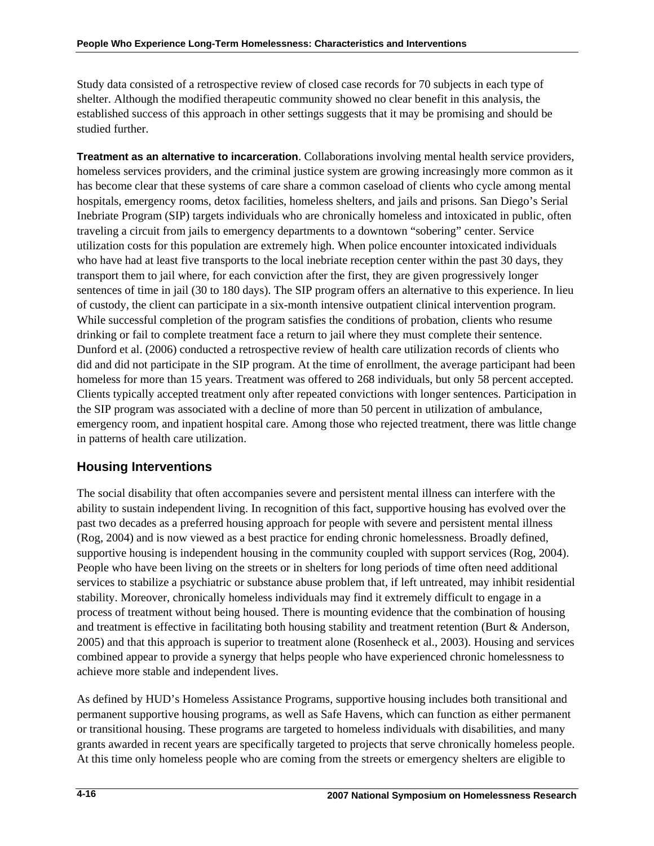Study data consisted of a retrospective review of closed case records for 70 subjects in each type of shelter. Although the modified therapeutic community showed no clear benefit in this analysis, the established success of this approach in other settings suggests that it may be promising and should be studied further.

**Treatment as an alternative to incarceration**. Collaborations involving mental health service providers, homeless services providers, and the criminal justice system are growing increasingly more common as it has become clear that these systems of care share a common caseload of clients who cycle among mental hospitals, emergency rooms, detox facilities, homeless shelters, and jails and prisons. San Diego's Serial Inebriate Program (SIP) targets individuals who are chronically homeless and intoxicated in public, often traveling a circuit from jails to emergency departments to a downtown "sobering" center. Service utilization costs for this population are extremely high. When police encounter intoxicated individuals who have had at least five transports to the local inebriate reception center within the past 30 days, they transport them to jail where, for each conviction after the first, they are given progressively longer sentences of time in jail (30 to 180 days). The SIP program offers an alternative to this experience. In lieu of custody, the client can participate in a six-month intensive outpatient clinical intervention program. While successful completion of the program satisfies the conditions of probation, clients who resume drinking or fail to complete treatment face a return to jail where they must complete their sentence. Dunford et al. (2006) conducted a retrospective review of health care utilization records of clients who did and did not participate in the SIP program. At the time of enrollment, the average participant had been homeless for more than 15 years. Treatment was offered to 268 individuals, but only 58 percent accepted. Clients typically accepted treatment only after repeated convictions with longer sentences. Participation in the SIP program was associated with a decline of more than 50 percent in utilization of ambulance, emergency room, and inpatient hospital care. Among those who rejected treatment, there was little change in patterns of health care utilization.

# **Housing Interventions**

The social disability that often accompanies severe and persistent mental illness can interfere with the ability to sustain independent living. In recognition of this fact, supportive housing has evolved over the past two decades as a preferred housing approach for people with severe and persistent mental illness (Rog, 2004) and is now viewed as a best practice for ending chronic homelessness. Broadly defined, supportive housing is independent housing in the community coupled with support services (Rog, 2004). People who have been living on the streets or in shelters for long periods of time often need additional services to stabilize a psychiatric or substance abuse problem that, if left untreated, may inhibit residential stability. Moreover, chronically homeless individuals may find it extremely difficult to engage in a process of treatment without being housed. There is mounting evidence that the combination of housing and treatment is effective in facilitating both housing stability and treatment retention (Burt & Anderson, 2005) and that this approach is superior to treatment alone (Rosenheck et al., 2003). Housing and services combined appear to provide a synergy that helps people who have experienced chronic homelessness to achieve more stable and independent lives.

As defined by HUD's Homeless Assistance Programs, supportive housing includes both transitional and permanent supportive housing programs, as well as Safe Havens, which can function as either permanent or transitional housing. These programs are targeted to homeless individuals with disabilities, and many grants awarded in recent years are specifically targeted to projects that serve chronically homeless people. At this time only homeless people who are coming from the streets or emergency shelters are eligible to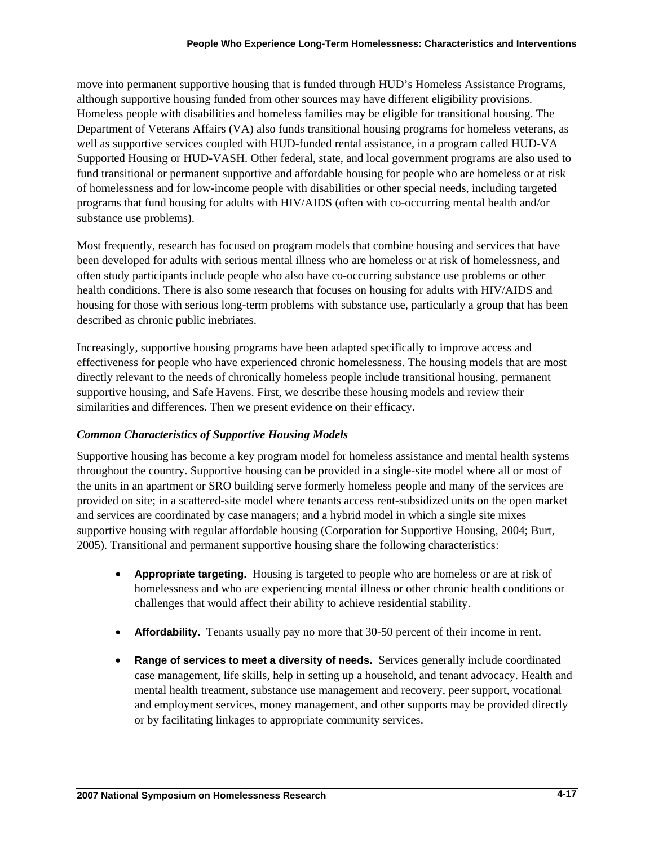move into permanent supportive housing that is funded through HUD's Homeless Assistance Programs, although supportive housing funded from other sources may have different eligibility provisions. Homeless people with disabilities and homeless families may be eligible for transitional housing. The Department of Veterans Affairs (VA) also funds transitional housing programs for homeless veterans, as well as supportive services coupled with HUD-funded rental assistance, in a program called HUD-VA Supported Housing or HUD-VASH. Other federal, state, and local government programs are also used to fund transitional or permanent supportive and affordable housing for people who are homeless or at risk of homelessness and for low-income people with disabilities or other special needs, including targeted programs that fund housing for adults with HIV/AIDS (often with co-occurring mental health and/or substance use problems).

Most frequently, research has focused on program models that combine housing and services that have been developed for adults with serious mental illness who are homeless or at risk of homelessness, and often study participants include people who also have co-occurring substance use problems or other health conditions. There is also some research that focuses on housing for adults with HIV/AIDS and housing for those with serious long-term problems with substance use, particularly a group that has been described as chronic public inebriates.

Increasingly, supportive housing programs have been adapted specifically to improve access and effectiveness for people who have experienced chronic homelessness. The housing models that are most directly relevant to the needs of chronically homeless people include transitional housing, permanent supportive housing, and Safe Havens. First, we describe these housing models and review their similarities and differences. Then we present evidence on their efficacy.

## *Common Characteristics of Supportive Housing Models*

Supportive housing has become a key program model for homeless assistance and mental health systems throughout the country. Supportive housing can be provided in a single-site model where all or most of the units in an apartment or SRO building serve formerly homeless people and many of the services are provided on site; in a scattered-site model where tenants access rent-subsidized units on the open market and services are coordinated by case managers; and a hybrid model in which a single site mixes supportive housing with regular affordable housing (Corporation for Supportive Housing, 2004; Burt, 2005). Transitional and permanent supportive housing share the following characteristics:

- **Appropriate targeting.** Housing is targeted to people who are homeless or are at risk of homelessness and who are experiencing mental illness or other chronic health conditions or challenges that would affect their ability to achieve residential stability.
- **Affordability.** Tenants usually pay no more that 30-50 percent of their income in rent.
- **Range of services to meet a diversity of needs.** Services generally include coordinated case management, life skills, help in setting up a household, and tenant advocacy. Health and mental health treatment, substance use management and recovery, peer support, vocational and employment services, money management, and other supports may be provided directly or by facilitating linkages to appropriate community services.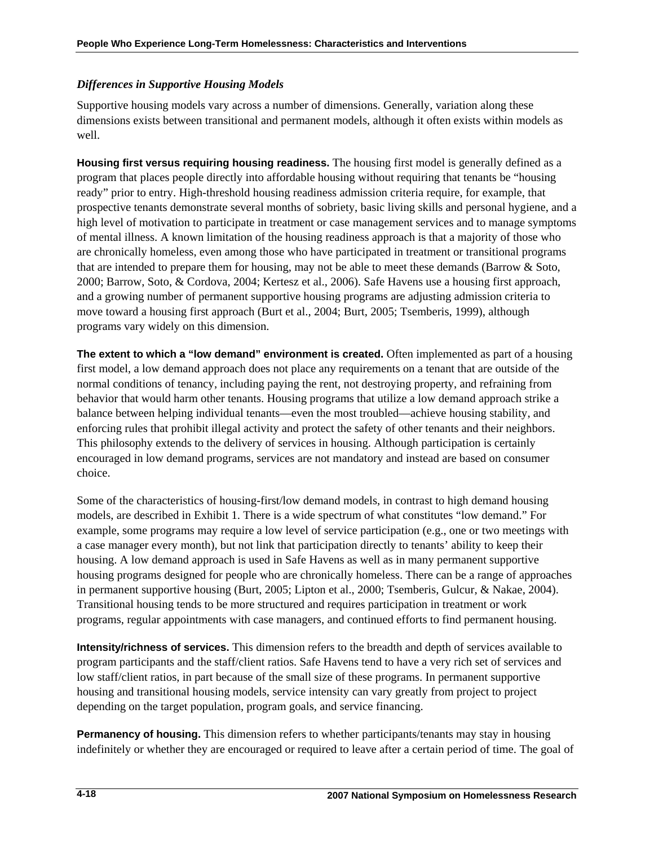## *Differences in Supportive Housing Models*

Supportive housing models vary across a number of dimensions. Generally, variation along these dimensions exists between transitional and permanent models, although it often exists within models as well.

**Housing first versus requiring housing readiness.** The housing first model is generally defined as a program that places people directly into affordable housing without requiring that tenants be "housing ready" prior to entry. High-threshold housing readiness admission criteria require, for example, that prospective tenants demonstrate several months of sobriety, basic living skills and personal hygiene, and a high level of motivation to participate in treatment or case management services and to manage symptoms of mental illness. A known limitation of the housing readiness approach is that a majority of those who are chronically homeless, even among those who have participated in treatment or transitional programs that are intended to prepare them for housing, may not be able to meet these demands (Barrow & Soto, 2000; Barrow, Soto, & Cordova, 2004; Kertesz et al., 2006). Safe Havens use a housing first approach, and a growing number of permanent supportive housing programs are adjusting admission criteria to move toward a housing first approach (Burt et al., 2004; Burt, 2005; Tsemberis, 1999), although programs vary widely on this dimension.

**The extent to which a "low demand" environment is created.** Often implemented as part of a housing first model, a low demand approach does not place any requirements on a tenant that are outside of the normal conditions of tenancy, including paying the rent, not destroying property, and refraining from behavior that would harm other tenants. Housing programs that utilize a low demand approach strike a balance between helping individual tenants—even the most troubled—achieve housing stability, and enforcing rules that prohibit illegal activity and protect the safety of other tenants and their neighbors. This philosophy extends to the delivery of services in housing. Although participation is certainly encouraged in low demand programs, services are not mandatory and instead are based on consumer choice.

Some of the characteristics of housing-first/low demand models, in contrast to high demand housing models, are described in Exhibit 1. There is a wide spectrum of what constitutes "low demand." For example, some programs may require a low level of service participation (e.g., one or two meetings with a case manager every month), but not link that participation directly to tenants' ability to keep their housing. A low demand approach is used in Safe Havens as well as in many permanent supportive housing programs designed for people who are chronically homeless. There can be a range of approaches in permanent supportive housing (Burt, 2005; Lipton et al., 2000; Tsemberis, Gulcur, & Nakae, 2004). Transitional housing tends to be more structured and requires participation in treatment or work programs, regular appointments with case managers, and continued efforts to find permanent housing.

**Intensity/richness of services.** This dimension refers to the breadth and depth of services available to program participants and the staff/client ratios. Safe Havens tend to have a very rich set of services and low staff/client ratios, in part because of the small size of these programs. In permanent supportive housing and transitional housing models, service intensity can vary greatly from project to project depending on the target population, program goals, and service financing.

**Permanency of housing.** This dimension refers to whether participants/tenants may stay in housing indefinitely or whether they are encouraged or required to leave after a certain period of time. The goal of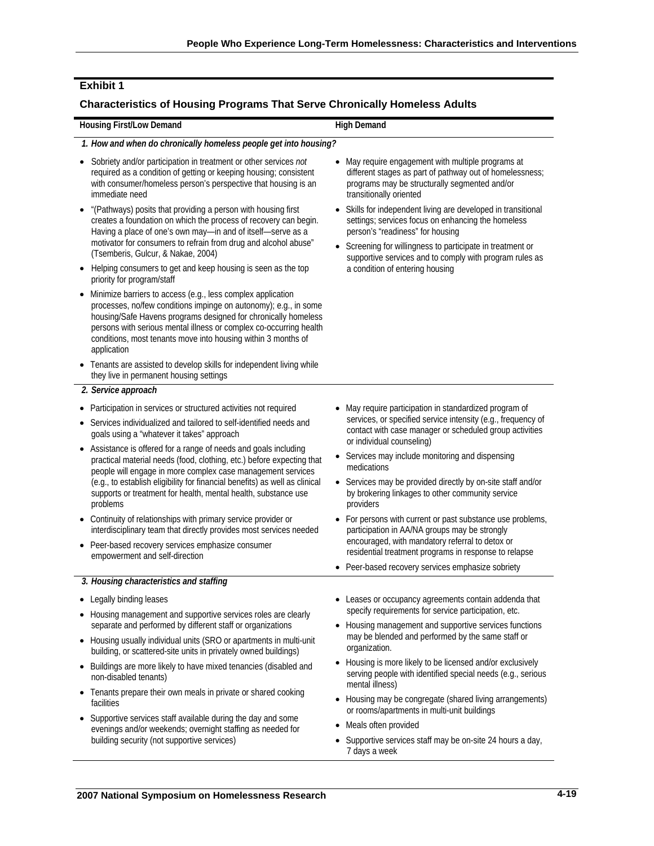### **Exhibit 1**

#### **Characteristics of Housing Programs That Serve Chronically Homeless Adults**

#### **Housing First/Low Demand High Demand High Demand** *1. How and when do chronically homeless people get into housing?*  • Sobriety and/or participation in treatment or other services *not* required as a condition of getting or keeping housing; consistent with consumer/homeless person's perspective that housing is an immediate need • "(Pathways) posits that providing a person with housing first creates a foundation on which the process of recovery can begin. Having a place of one's own may—in and of itself—serve as a motivator for consumers to refrain from drug and alcohol abuse" (Tsemberis, Gulcur, & Nakae, 2004) • Helping consumers to get and keep housing is seen as the top priority for program/staff • Minimize barriers to access (e.g., less complex application processes, no/few conditions impinge on autonomy); e.g., in some housing/Safe Havens programs designed for chronically homeless persons with serious mental illness or complex co-occurring health conditions, most tenants move into housing within 3 months of application • Tenants are assisted to develop skills for independent living while they live in permanent housing settings • May require engagement with multiple programs at different stages as part of pathway out of homelessness; programs may be structurally segmented and/or transitionally oriented • Skills for independent living are developed in transitional settings; services focus on enhancing the homeless person's "readiness" for housing • Screening for willingness to participate in treatment or supportive services and to comply with program rules as a condition of entering housing *2. Service approach*  • Participation in services or structured activities not required • Services individualized and tailored to self-identified needs and goals using a "whatever it takes" approach • Assistance is offered for a range of needs and goals including practical material needs (food, clothing, etc.) before expecting that people will engage in more complex case management services (e.g., to establish eligibility for financial benefits) as well as clinical supports or treatment for health, mental health, substance use problems • Continuity of relationships with primary service provider or interdisciplinary team that directly provides most services needed • Peer-based recovery services emphasize consumer empowerment and self-direction • May require participation in standardized program of services, or specified service intensity (e.g., frequency of contact with case manager or scheduled group activities or individual counseling) • Services may include monitoring and dispensing medications • Services may be provided directly by on-site staff and/or by brokering linkages to other community service providers • For persons with current or past substance use problems, participation in AA/NA groups may be strongly encouraged, with mandatory referral to detox or residential treatment programs in response to relapse • Peer-based recovery services emphasize sobriety *3. Housing characteristics and staffing*  • Legally binding leases • Housing management and supportive services roles are clearly separate and performed by different staff or organizations • Leases or occupancy agreements contain addenda that specify requirements for service participation, etc. • Housing management and supportive services functions

- Housing usually individual units (SRO or apartments in multi-unit building, or scattered-site units in privately owned buildings)
- Buildings are more likely to have mixed tenancies (disabled and non-disabled tenants)
- Tenants prepare their own meals in private or shared cooking facilities
- Supportive services staff available during the day and some evenings and/or weekends; overnight staffing as needed for building security (not supportive services)
- may be blended and performed by the same staff or organization.
- Housing is more likely to be licensed and/or exclusively serving people with identified special needs (e.g., serious mental illness)
- Housing may be congregate (shared living arrangements) or rooms/apartments in multi-unit buildings
- Meals often provided
- Supportive services staff may be on-site 24 hours a day, 7 days a week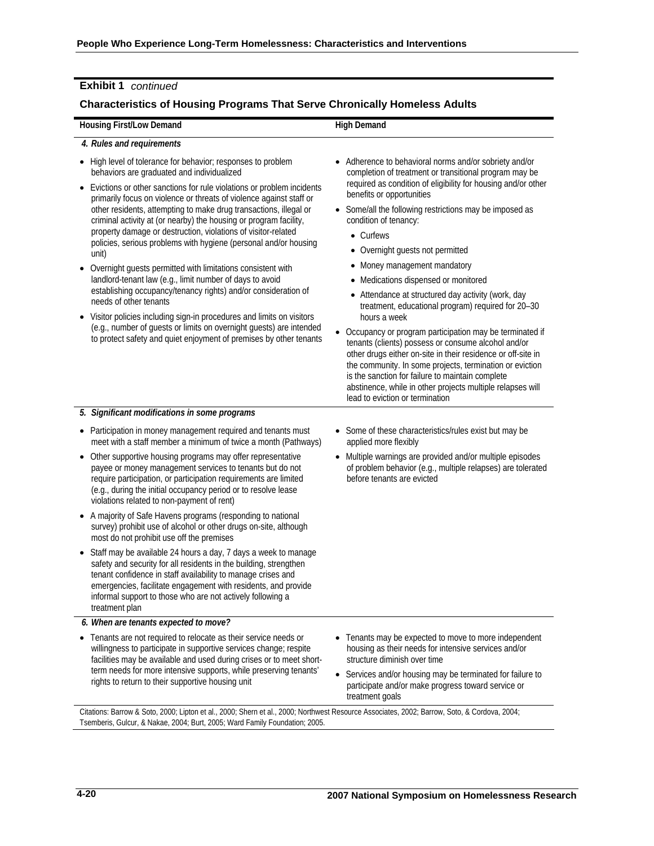### **Exhibit 1** *continued*

#### **Characteristics of Housing Programs That Serve Chronically Homeless Adults**

#### **Housing First/Low Demand High Demand High Demand**

#### *4. Rules and requirements*

- High level of tolerance for behavior; responses to problem behaviors are graduated and individualized
- Evictions or other sanctions for rule violations or problem incidents primarily focus on violence or threats of violence against staff or other residents, attempting to make drug transactions, illegal or criminal activity at (or nearby) the housing or program facility, property damage or destruction, violations of visitor-related policies, serious problems with hygiene (personal and/or housing unit)
- Overnight guests permitted with limitations consistent with landlord-tenant law (e.g., limit number of days to avoid establishing occupancy/tenancy rights) and/or consideration of needs of other tenants
- Visitor policies including sign-in procedures and limits on visitors (e.g., number of guests or limits on overnight guests) are intended to protect safety and quiet enjoyment of premises by other tenants
- Adherence to behavioral norms and/or sobriety and/or completion of treatment or transitional program may be required as condition of eligibility for housing and/or other benefits or opportunities
- Some/all the following restrictions may be imposed as condition of tenancy:
	- Curfews
	- Overnight guests not permitted
	- Money management mandatory
	- Medications dispensed or monitored
	- Attendance at structured day activity (work, day treatment, educational program) required for 20–30 hours a week
- Occupancy or program participation may be terminated if tenants (clients) possess or consume alcohol and/or other drugs either on-site in their residence or off-site in the community. In some projects, termination or eviction is the sanction for failure to maintain complete abstinence, while in other projects multiple relapses will lead to eviction or termination

#### *5. Significant modifications in some programs*

- Participation in money management required and tenants must meet with a staff member a minimum of twice a month (Pathways)
- Other supportive housing programs may offer representative payee or money management services to tenants but do not require participation, or participation requirements are limited (e.g., during the initial occupancy period or to resolve lease violations related to non-payment of rent)
- A majority of Safe Havens programs (responding to national survey) prohibit use of alcohol or other drugs on-site, although most do not prohibit use off the premises
- Staff may be available 24 hours a day, 7 days a week to manage safety and security for all residents in the building, strengthen tenant confidence in staff availability to manage crises and emergencies, facilitate engagement with residents, and provide informal support to those who are not actively following a treatment plan
- *6. When are tenants expected to move?*
- Tenants are not required to relocate as their service needs or willingness to participate in supportive services change; respite facilities may be available and used during crises or to meet shortterm needs for more intensive supports, while preserving tenants' rights to return to their supportive housing unit
- Some of these characteristics/rules exist but may be applied more flexibly
- Multiple warnings are provided and/or multiple episodes of problem behavior (e.g., multiple relapses) are tolerated before tenants are evicted

- Tenants may be expected to move to more independent housing as their needs for intensive services and/or structure diminish over time
- Services and/or housing may be terminated for failure to participate and/or make progress toward service or treatment goals

Citations: Barrow & Soto, 2000; Lipton et al., 2000; Shern et al., 2000; Northwest Resource Associates, 2002; Barrow, Soto, & Cordova, 2004; Tsemberis, Gulcur, & Nakae, 2004; Burt, 2005; Ward Family Foundation; 2005.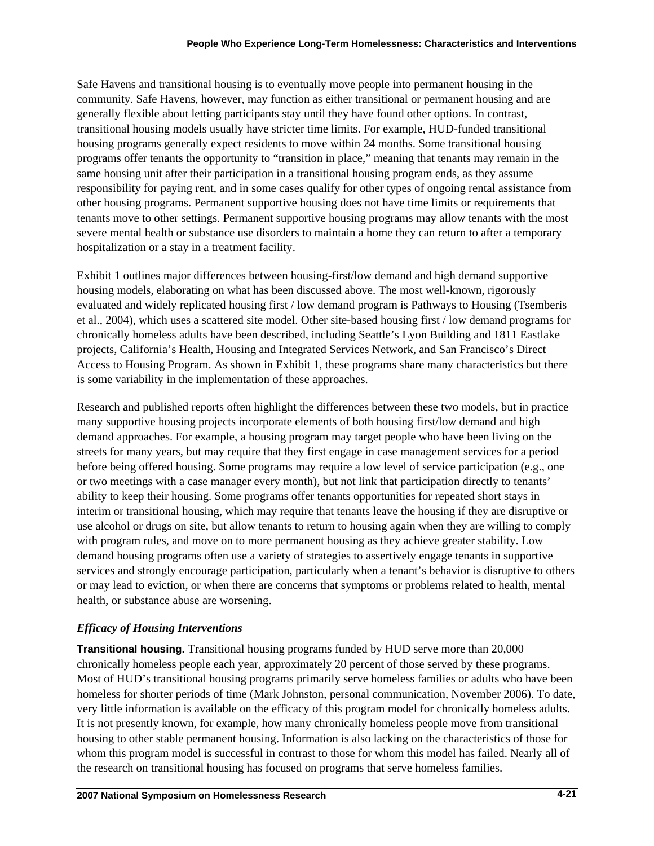Safe Havens and transitional housing is to eventually move people into permanent housing in the community. Safe Havens, however, may function as either transitional or permanent housing and are generally flexible about letting participants stay until they have found other options. In contrast, transitional housing models usually have stricter time limits. For example, HUD-funded transitional housing programs generally expect residents to move within 24 months. Some transitional housing programs offer tenants the opportunity to "transition in place," meaning that tenants may remain in the same housing unit after their participation in a transitional housing program ends, as they assume responsibility for paying rent, and in some cases qualify for other types of ongoing rental assistance from other housing programs. Permanent supportive housing does not have time limits or requirements that tenants move to other settings. Permanent supportive housing programs may allow tenants with the most severe mental health or substance use disorders to maintain a home they can return to after a temporary hospitalization or a stay in a treatment facility.

Exhibit 1 outlines major differences between housing-first/low demand and high demand supportive housing models, elaborating on what has been discussed above. The most well-known, rigorously evaluated and widely replicated housing first / low demand program is Pathways to Housing (Tsemberis et al., 2004), which uses a scattered site model. Other site-based housing first / low demand programs for chronically homeless adults have been described, including Seattle's Lyon Building and 1811 Eastlake projects, California's Health, Housing and Integrated Services Network, and San Francisco's Direct Access to Housing Program. As shown in Exhibit 1, these programs share many characteristics but there is some variability in the implementation of these approaches.

Research and published reports often highlight the differences between these two models, but in practice many supportive housing projects incorporate elements of both housing first/low demand and high demand approaches. For example, a housing program may target people who have been living on the streets for many years, but may require that they first engage in case management services for a period before being offered housing. Some programs may require a low level of service participation (e.g., one or two meetings with a case manager every month), but not link that participation directly to tenants' ability to keep their housing. Some programs offer tenants opportunities for repeated short stays in interim or transitional housing, which may require that tenants leave the housing if they are disruptive or use alcohol or drugs on site, but allow tenants to return to housing again when they are willing to comply with program rules, and move on to more permanent housing as they achieve greater stability. Low demand housing programs often use a variety of strategies to assertively engage tenants in supportive services and strongly encourage participation, particularly when a tenant's behavior is disruptive to others or may lead to eviction, or when there are concerns that symptoms or problems related to health, mental health, or substance abuse are worsening.

# *Efficacy of Housing Interventions*

**Transitional housing.** Transitional housing programs funded by HUD serve more than 20,000 chronically homeless people each year, approximately 20 percent of those served by these programs. Most of HUD's transitional housing programs primarily serve homeless families or adults who have been homeless for shorter periods of time (Mark Johnston, personal communication, November 2006). To date, very little information is available on the efficacy of this program model for chronically homeless adults. It is not presently known, for example, how many chronically homeless people move from transitional housing to other stable permanent housing. Information is also lacking on the characteristics of those for whom this program model is successful in contrast to those for whom this model has failed. Nearly all of the research on transitional housing has focused on programs that serve homeless families.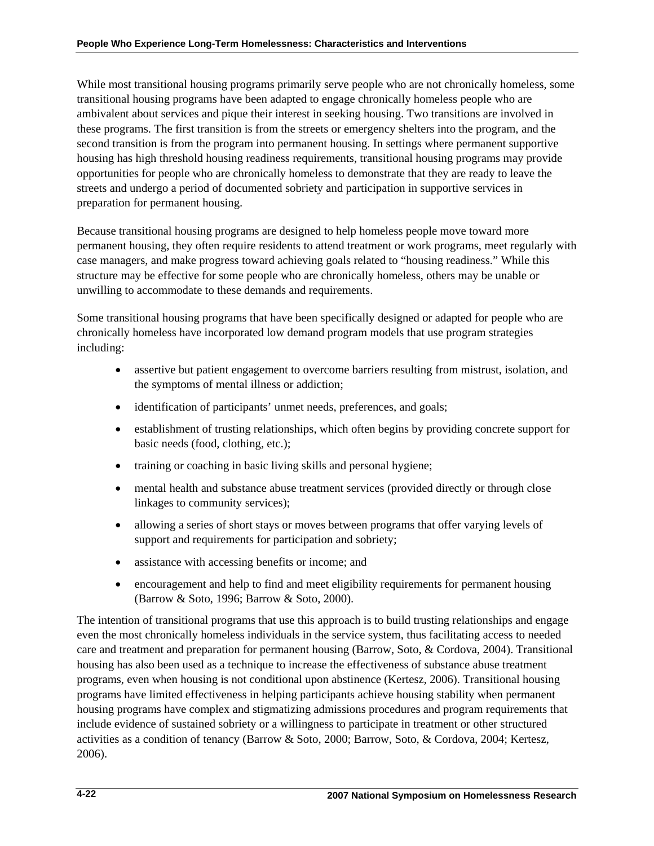While most transitional housing programs primarily serve people who are not chronically homeless, some transitional housing programs have been adapted to engage chronically homeless people who are ambivalent about services and pique their interest in seeking housing. Two transitions are involved in these programs. The first transition is from the streets or emergency shelters into the program, and the second transition is from the program into permanent housing. In settings where permanent supportive housing has high threshold housing readiness requirements, transitional housing programs may provide opportunities for people who are chronically homeless to demonstrate that they are ready to leave the streets and undergo a period of documented sobriety and participation in supportive services in preparation for permanent housing.

Because transitional housing programs are designed to help homeless people move toward more permanent housing, they often require residents to attend treatment or work programs, meet regularly with case managers, and make progress toward achieving goals related to "housing readiness." While this structure may be effective for some people who are chronically homeless, others may be unable or unwilling to accommodate to these demands and requirements.

Some transitional housing programs that have been specifically designed or adapted for people who are chronically homeless have incorporated low demand program models that use program strategies including:

- assertive but patient engagement to overcome barriers resulting from mistrust, isolation, and the symptoms of mental illness or addiction;
- identification of participants' unmet needs, preferences, and goals;
- establishment of trusting relationships, which often begins by providing concrete support for basic needs (food, clothing, etc.);
- training or coaching in basic living skills and personal hygiene;
- mental health and substance abuse treatment services (provided directly or through close linkages to community services);
- allowing a series of short stays or moves between programs that offer varying levels of support and requirements for participation and sobriety;
- assistance with accessing benefits or income; and
- encouragement and help to find and meet eligibility requirements for permanent housing (Barrow & Soto, 1996; Barrow & Soto, 2000).

The intention of transitional programs that use this approach is to build trusting relationships and engage even the most chronically homeless individuals in the service system, thus facilitating access to needed care and treatment and preparation for permanent housing (Barrow, Soto, & Cordova, 2004). Transitional housing has also been used as a technique to increase the effectiveness of substance abuse treatment programs, even when housing is not conditional upon abstinence (Kertesz, 2006). Transitional housing programs have limited effectiveness in helping participants achieve housing stability when permanent housing programs have complex and stigmatizing admissions procedures and program requirements that include evidence of sustained sobriety or a willingness to participate in treatment or other structured activities as a condition of tenancy (Barrow & Soto, 2000; Barrow, Soto, & Cordova, 2004; Kertesz, 2006).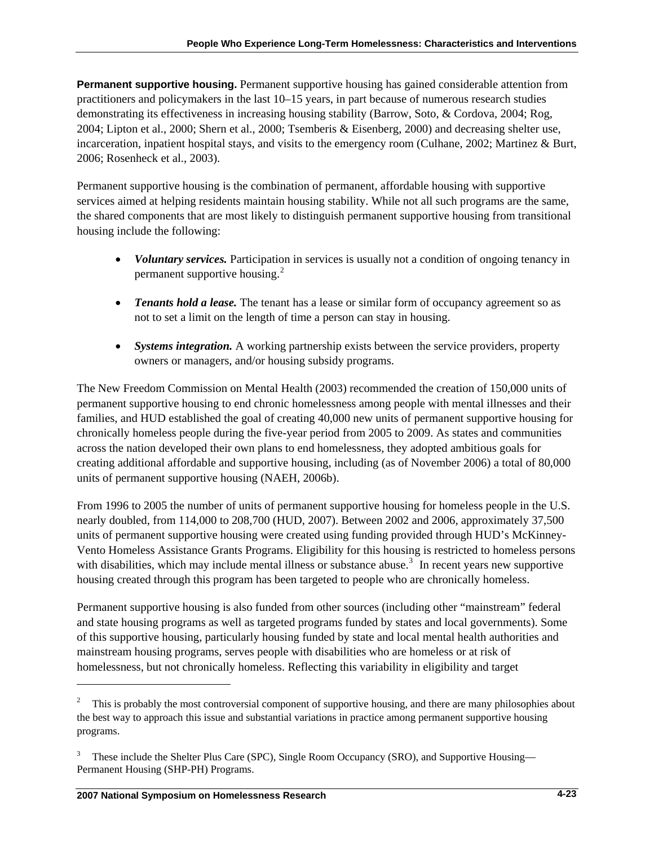<span id="page-22-0"></span>**Permanent supportive housing.** Permanent supportive housing has gained considerable attention from practitioners and policymakers in the last 10–15 years, in part because of numerous research studies demonstrating its effectiveness in increasing housing stability (Barrow, Soto, & Cordova, 2004; Rog, 2004; Lipton et al., 2000; Shern et al., 2000; Tsemberis & Eisenberg, 2000) and decreasing shelter use, incarceration, inpatient hospital stays, and visits to the emergency room (Culhane, 2002; Martinez & Burt, 2006; Rosenheck et al., 2003).

Permanent supportive housing is the combination of permanent, affordable housing with supportive services aimed at helping residents maintain housing stability. While not all such programs are the same, the shared components that are most likely to distinguish permanent supportive housing from transitional housing include the following:

- *Voluntary services.* Participation in services is usually not a condition of ongoing tenancy in permanent supportive housing.<sup>[2](#page-22-0)</sup>
- *Tenants hold a lease.* The tenant has a lease or similar form of occupancy agreement so as not to set a limit on the length of time a person can stay in housing.
- *Systems integration.* A working partnership exists between the service providers, property owners or managers, and/or housing subsidy programs.

The New Freedom Commission on Mental Health (2003) recommended the creation of 150,000 units of permanent supportive housing to end chronic homelessness among people with mental illnesses and their families, and HUD established the goal of creating 40,000 new units of permanent supportive housing for chronically homeless people during the five-year period from 2005 to 2009. As states and communities across the nation developed their own plans to end homelessness, they adopted ambitious goals for creating additional affordable and supportive housing, including (as of November 2006) a total of 80,000 units of permanent supportive housing (NAEH, 2006b).

From 1996 to 2005 the number of units of permanent supportive housing for homeless people in the U.S. nearly doubled, from 114,000 to 208,700 (HUD, 2007). Between 2002 and 2006, approximately 37,500 units of permanent supportive housing were created using funding provided through HUD's McKinney-Vento Homeless Assistance Grants Programs. Eligibility for this housing is restricted to homeless persons with disabilities, which may include mental illness or substance abuse.<sup>[3](#page-22-0)</sup> In recent years new supportive housing created through this program has been targeted to people who are chronically homeless.

Permanent supportive housing is also funded from other sources (including other "mainstream" federal and state housing programs as well as targeted programs funded by states and local governments). Some of this supportive housing, particularly housing funded by state and local mental health authorities and mainstream housing programs, serves people with disabilities who are homeless or at risk of homelessness, but not chronically homeless. Reflecting this variability in eligibility and target

 $\overline{\phantom{a}}$ 

<sup>&</sup>lt;sup>2</sup> This is probably the most controversial component of supportive housing, and there are many philosophies about the best way to approach this issue and substantial variations in practice among permanent supportive housing programs.

<sup>3</sup> These include the Shelter Plus Care (SPC), Single Room Occupancy (SRO), and Supportive Housing— Permanent Housing (SHP-PH) Programs.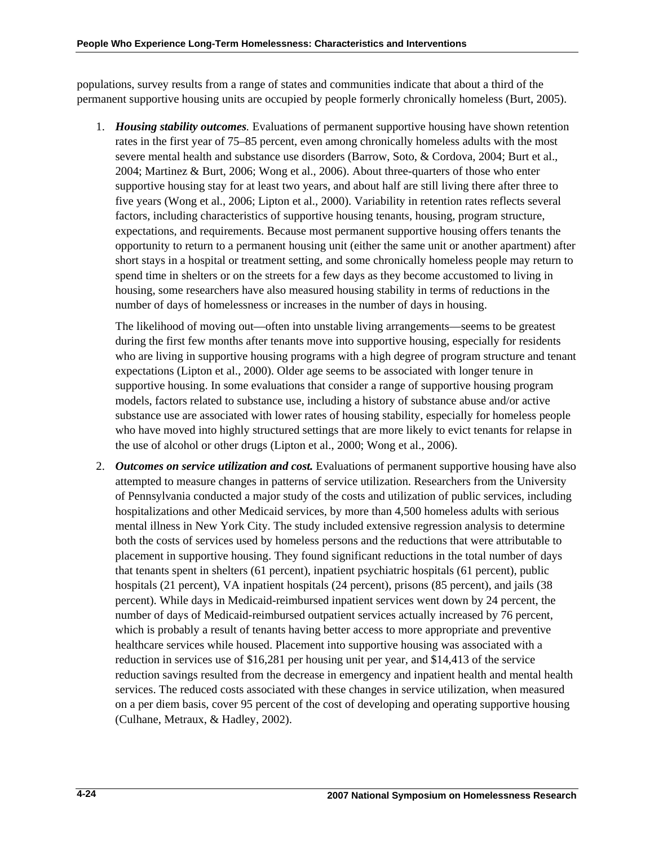populations, survey results from a range of states and communities indicate that about a third of the permanent supportive housing units are occupied by people formerly chronically homeless (Burt, 2005).

1. *Housing stability outcomes.* Evaluations of permanent supportive housing have shown retention rates in the first year of 75–85 percent, even among chronically homeless adults with the most severe mental health and substance use disorders (Barrow, Soto, & Cordova, 2004; Burt et al., 2004; Martinez & Burt, 2006; Wong et al., 2006). About three-quarters of those who enter supportive housing stay for at least two years, and about half are still living there after three to five years (Wong et al., 2006; Lipton et al., 2000). Variability in retention rates reflects several factors, including characteristics of supportive housing tenants, housing, program structure, expectations, and requirements. Because most permanent supportive housing offers tenants the opportunity to return to a permanent housing unit (either the same unit or another apartment) after short stays in a hospital or treatment setting, and some chronically homeless people may return to spend time in shelters or on the streets for a few days as they become accustomed to living in housing, some researchers have also measured housing stability in terms of reductions in the number of days of homelessness or increases in the number of days in housing.

The likelihood of moving out—often into unstable living arrangements—seems to be greatest during the first few months after tenants move into supportive housing, especially for residents who are living in supportive housing programs with a high degree of program structure and tenant expectations (Lipton et al., 2000). Older age seems to be associated with longer tenure in supportive housing. In some evaluations that consider a range of supportive housing program models, factors related to substance use, including a history of substance abuse and/or active substance use are associated with lower rates of housing stability, especially for homeless people who have moved into highly structured settings that are more likely to evict tenants for relapse in the use of alcohol or other drugs (Lipton et al., 2000; Wong et al., 2006).

2. *Outcomes on service utilization and cost.* Evaluations of permanent supportive housing have also attempted to measure changes in patterns of service utilization. Researchers from the University of Pennsylvania conducted a major study of the costs and utilization of public services, including hospitalizations and other Medicaid services, by more than 4,500 homeless adults with serious mental illness in New York City. The study included extensive regression analysis to determine both the costs of services used by homeless persons and the reductions that were attributable to placement in supportive housing. They found significant reductions in the total number of days that tenants spent in shelters (61 percent), inpatient psychiatric hospitals (61 percent), public hospitals (21 percent), VA inpatient hospitals (24 percent), prisons (85 percent), and jails (38 percent). While days in Medicaid-reimbursed inpatient services went down by 24 percent, the number of days of Medicaid-reimbursed outpatient services actually increased by 76 percent, which is probably a result of tenants having better access to more appropriate and preventive healthcare services while housed. Placement into supportive housing was associated with a reduction in services use of \$16,281 per housing unit per year, and \$14,413 of the service reduction savings resulted from the decrease in emergency and inpatient health and mental health services. The reduced costs associated with these changes in service utilization, when measured on a per diem basis, cover 95 percent of the cost of developing and operating supportive housing (Culhane, Metraux, & Hadley, 2002).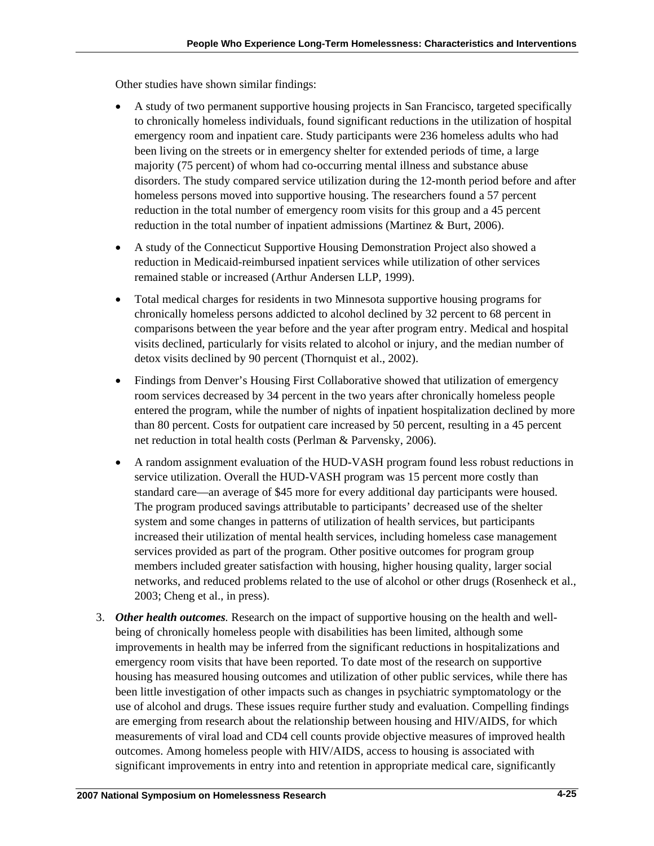Other studies have shown similar findings:

- A study of two permanent supportive housing projects in San Francisco, targeted specifically to chronically homeless individuals, found significant reductions in the utilization of hospital emergency room and inpatient care. Study participants were 236 homeless adults who had been living on the streets or in emergency shelter for extended periods of time, a large majority (75 percent) of whom had co-occurring mental illness and substance abuse disorders. The study compared service utilization during the 12-month period before and after homeless persons moved into supportive housing. The researchers found a 57 percent reduction in the total number of emergency room visits for this group and a 45 percent reduction in the total number of inpatient admissions (Martinez & Burt, 2006).
- A study of the Connecticut Supportive Housing Demonstration Project also showed a reduction in Medicaid-reimbursed inpatient services while utilization of other services remained stable or increased (Arthur Andersen LLP, 1999).
- Total medical charges for residents in two Minnesota supportive housing programs for chronically homeless persons addicted to alcohol declined by 32 percent to 68 percent in comparisons between the year before and the year after program entry. Medical and hospital visits declined, particularly for visits related to alcohol or injury, and the median number of detox visits declined by 90 percent (Thornquist et al., 2002).
- Findings from Denver's Housing First Collaborative showed that utilization of emergency room services decreased by 34 percent in the two years after chronically homeless people entered the program, while the number of nights of inpatient hospitalization declined by more than 80 percent. Costs for outpatient care increased by 50 percent, resulting in a 45 percent net reduction in total health costs (Perlman & Parvensky, 2006).
- A random assignment evaluation of the HUD-VASH program found less robust reductions in service utilization. Overall the HUD-VASH program was 15 percent more costly than standard care—an average of \$45 more for every additional day participants were housed. The program produced savings attributable to participants' decreased use of the shelter system and some changes in patterns of utilization of health services, but participants increased their utilization of mental health services, including homeless case management services provided as part of the program. Other positive outcomes for program group members included greater satisfaction with housing, higher housing quality, larger social networks, and reduced problems related to the use of alcohol or other drugs (Rosenheck et al., 2003; Cheng et al., in press).
- 3. *Other health outcomes.* Research on the impact of supportive housing on the health and wellbeing of chronically homeless people with disabilities has been limited, although some improvements in health may be inferred from the significant reductions in hospitalizations and emergency room visits that have been reported. To date most of the research on supportive housing has measured housing outcomes and utilization of other public services, while there has been little investigation of other impacts such as changes in psychiatric symptomatology or the use of alcohol and drugs. These issues require further study and evaluation. Compelling findings are emerging from research about the relationship between housing and HIV/AIDS, for which measurements of viral load and CD4 cell counts provide objective measures of improved health outcomes. Among homeless people with HIV/AIDS, access to housing is associated with significant improvements in entry into and retention in appropriate medical care, significantly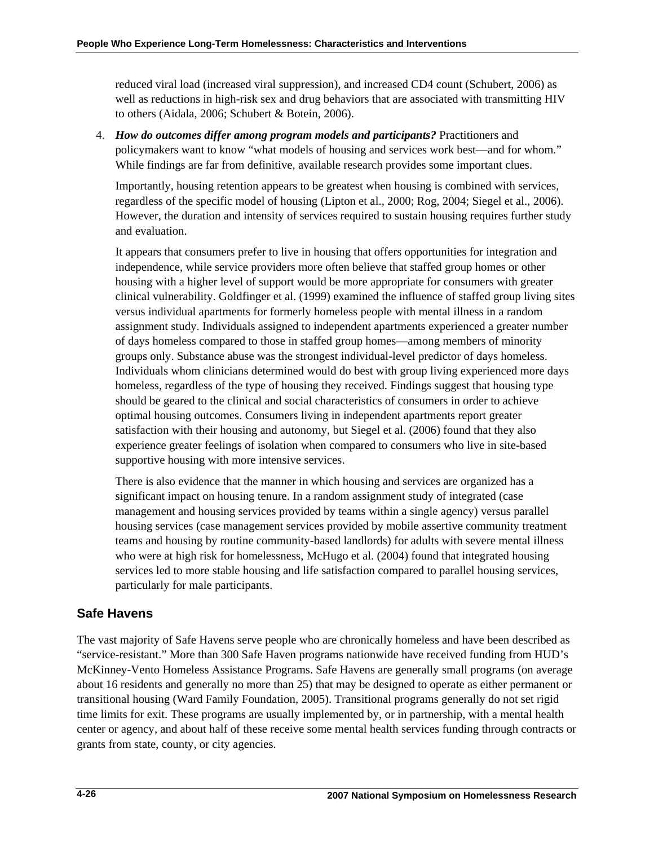reduced viral load (increased viral suppression), and increased CD4 count (Schubert, 2006) as well as reductions in high-risk sex and drug behaviors that are associated with transmitting HIV to others (Aidala, 2006; Schubert & Botein, 2006).

4. *How do outcomes differ among program models and participants?* Practitioners and policymakers want to know "what models of housing and services work best—and for whom." While findings are far from definitive, available research provides some important clues.

Importantly, housing retention appears to be greatest when housing is combined with services, regardless of the specific model of housing (Lipton et al., 2000; Rog, 2004; Siegel et al., 2006). However, the duration and intensity of services required to sustain housing requires further study and evaluation.

It appears that consumers prefer to live in housing that offers opportunities for integration and independence, while service providers more often believe that staffed group homes or other housing with a higher level of support would be more appropriate for consumers with greater clinical vulnerability. Goldfinger et al. (1999) examined the influence of staffed group living sites versus individual apartments for formerly homeless people with mental illness in a random assignment study. Individuals assigned to independent apartments experienced a greater number of days homeless compared to those in staffed group homes—among members of minority groups only. Substance abuse was the strongest individual-level predictor of days homeless. Individuals whom clinicians determined would do best with group living experienced more days homeless, regardless of the type of housing they received. Findings suggest that housing type should be geared to the clinical and social characteristics of consumers in order to achieve optimal housing outcomes. Consumers living in independent apartments report greater satisfaction with their housing and autonomy, but Siegel et al. (2006) found that they also experience greater feelings of isolation when compared to consumers who live in site-based supportive housing with more intensive services.

There is also evidence that the manner in which housing and services are organized has a significant impact on housing tenure. In a random assignment study of integrated (case management and housing services provided by teams within a single agency) versus parallel housing services (case management services provided by mobile assertive community treatment teams and housing by routine community-based landlords) for adults with severe mental illness who were at high risk for homelessness, McHugo et al. (2004) found that integrated housing services led to more stable housing and life satisfaction compared to parallel housing services, particularly for male participants.

# **Safe Havens**

The vast majority of Safe Havens serve people who are chronically homeless and have been described as "service-resistant." More than 300 Safe Haven programs nationwide have received funding from HUD's McKinney-Vento Homeless Assistance Programs. Safe Havens are generally small programs (on average about 16 residents and generally no more than 25) that may be designed to operate as either permanent or transitional housing (Ward Family Foundation, 2005). Transitional programs generally do not set rigid time limits for exit. These programs are usually implemented by, or in partnership, with a mental health center or agency, and about half of these receive some mental health services funding through contracts or grants from state, county, or city agencies.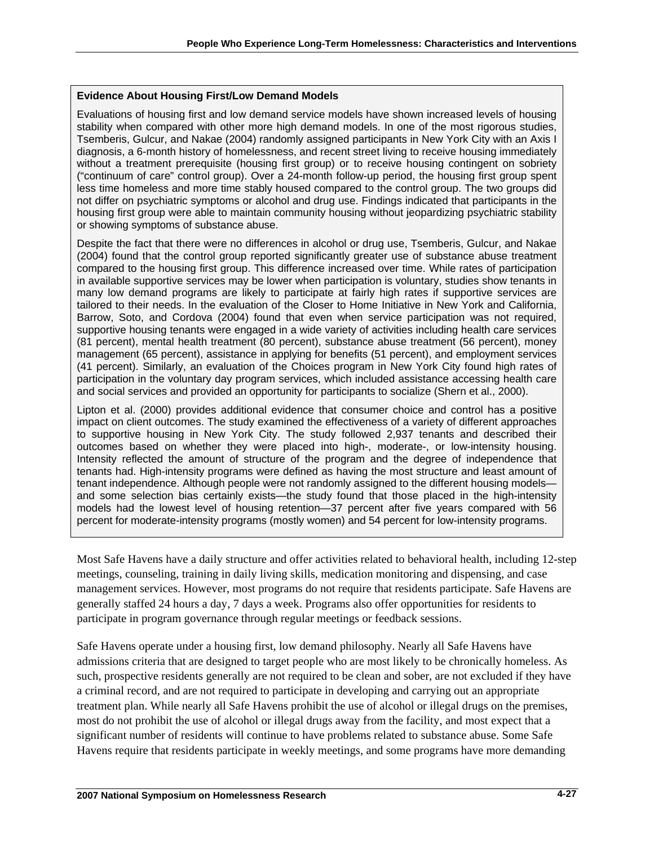#### **Evidence About Housing First/Low Demand Models**

Evaluations of housing first and low demand service models have shown increased levels of housing stability when compared with other more high demand models. In one of the most rigorous studies, Tsemberis, Gulcur, and Nakae (2004) randomly assigned participants in New York City with an Axis I diagnosis, a 6-month history of homelessness, and recent street living to receive housing immediately without a treatment prerequisite (housing first group) or to receive housing contingent on sobriety ("continuum of care" control group). Over a 24-month follow-up period, the housing first group spent less time homeless and more time stably housed compared to the control group. The two groups did not differ on psychiatric symptoms or alcohol and drug use. Findings indicated that participants in the housing first group were able to maintain community housing without jeopardizing psychiatric stability or showing symptoms of substance abuse.

Despite the fact that there were no differences in alcohol or drug use, Tsemberis, Gulcur, and Nakae (2004) found that the control group reported significantly greater use of substance abuse treatment compared to the housing first group. This difference increased over time. While rates of participation in available supportive services may be lower when participation is voluntary, studies show tenants in many low demand programs are likely to participate at fairly high rates if supportive services are tailored to their needs. In the evaluation of the Closer to Home Initiative in New York and California, Barrow, Soto, and Cordova (2004) found that even when service participation was not required, supportive housing tenants were engaged in a wide variety of activities including health care services (81 percent), mental health treatment (80 percent), substance abuse treatment (56 percent), money management (65 percent), assistance in applying for benefits (51 percent), and employment services (41 percent). Similarly, an evaluation of the Choices program in New York City found high rates of participation in the voluntary day program services, which included assistance accessing health care and social services and provided an opportunity for participants to socialize (Shern et al., 2000).

Lipton et al. (2000) provides additional evidence that consumer choice and control has a positive impact on client outcomes. The study examined the effectiveness of a variety of different approaches to supportive housing in New York City. The study followed 2,937 tenants and described their outcomes based on whether they were placed into high-, moderate-, or low-intensity housing. Intensity reflected the amount of structure of the program and the degree of independence that tenants had. High-intensity programs were defined as having the most structure and least amount of tenant independence. Although people were not randomly assigned to the different housing models and some selection bias certainly exists—the study found that those placed in the high-intensity models had the lowest level of housing retention—37 percent after five years compared with 56 percent for moderate-intensity programs (mostly women) and 54 percent for low-intensity programs.

Most Safe Havens have a daily structure and offer activities related to behavioral health, including 12-step meetings, counseling, training in daily living skills, medication monitoring and dispensing, and case management services. However, most programs do not require that residents participate. Safe Havens are generally staffed 24 hours a day, 7 days a week. Programs also offer opportunities for residents to participate in program governance through regular meetings or feedback sessions.

Safe Havens operate under a housing first, low demand philosophy. Nearly all Safe Havens have admissions criteria that are designed to target people who are most likely to be chronically homeless. As such, prospective residents generally are not required to be clean and sober, are not excluded if they have a criminal record, and are not required to participate in developing and carrying out an appropriate treatment plan. While nearly all Safe Havens prohibit the use of alcohol or illegal drugs on the premises, most do not prohibit the use of alcohol or illegal drugs away from the facility, and most expect that a significant number of residents will continue to have problems related to substance abuse. Some Safe Havens require that residents participate in weekly meetings, and some programs have more demanding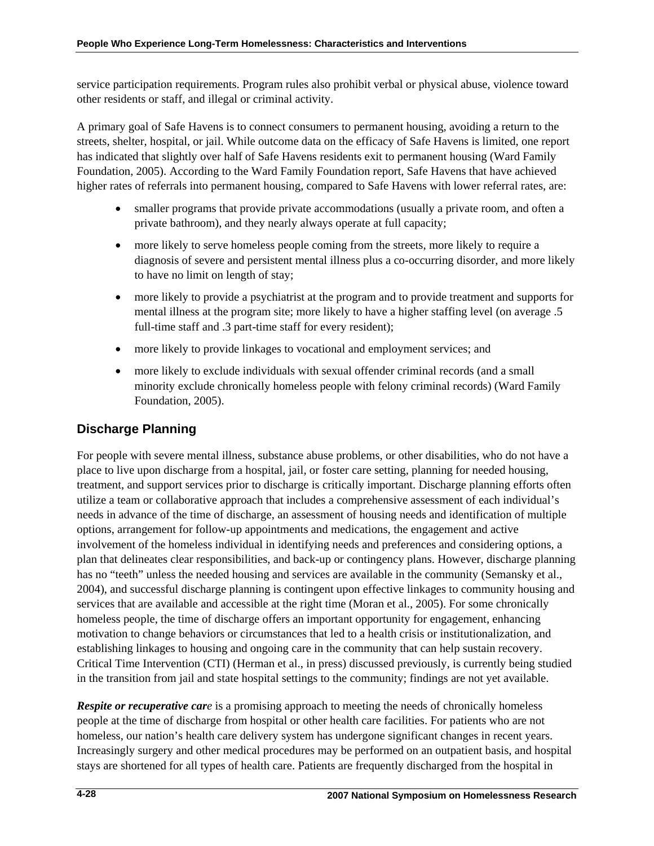service participation requirements. Program rules also prohibit verbal or physical abuse, violence toward other residents or staff, and illegal or criminal activity.

A primary goal of Safe Havens is to connect consumers to permanent housing, avoiding a return to the streets, shelter, hospital, or jail. While outcome data on the efficacy of Safe Havens is limited, one report has indicated that slightly over half of Safe Havens residents exit to permanent housing (Ward Family Foundation, 2005). According to the Ward Family Foundation report, Safe Havens that have achieved higher rates of referrals into permanent housing, compared to Safe Havens with lower referral rates, are:

- smaller programs that provide private accommodations (usually a private room, and often a private bathroom), and they nearly always operate at full capacity;
- more likely to serve homeless people coming from the streets, more likely to require a diagnosis of severe and persistent mental illness plus a co-occurring disorder, and more likely to have no limit on length of stay;
- more likely to provide a psychiatrist at the program and to provide treatment and supports for mental illness at the program site; more likely to have a higher staffing level (on average .5 full-time staff and .3 part-time staff for every resident);
- more likely to provide linkages to vocational and employment services; and
- more likely to exclude individuals with sexual offender criminal records (and a small minority exclude chronically homeless people with felony criminal records) (Ward Family Foundation, 2005).

# **Discharge Planning**

For people with severe mental illness, substance abuse problems, or other disabilities, who do not have a place to live upon discharge from a hospital, jail, or foster care setting, planning for needed housing, treatment, and support services prior to discharge is critically important. Discharge planning efforts often utilize a team or collaborative approach that includes a comprehensive assessment of each individual's needs in advance of the time of discharge, an assessment of housing needs and identification of multiple options, arrangement for follow-up appointments and medications, the engagement and active involvement of the homeless individual in identifying needs and preferences and considering options, a plan that delineates clear responsibilities, and back-up or contingency plans. However, discharge planning has no "teeth" unless the needed housing and services are available in the community (Semansky et al., 2004), and successful discharge planning is contingent upon effective linkages to community housing and services that are available and accessible at the right time (Moran et al., 2005). For some chronically homeless people, the time of discharge offers an important opportunity for engagement, enhancing motivation to change behaviors or circumstances that led to a health crisis or institutionalization, and establishing linkages to housing and ongoing care in the community that can help sustain recovery. Critical Time Intervention (CTI) (Herman et al., in press) discussed previously, is currently being studied in the transition from jail and state hospital settings to the community; findings are not yet available.

*Respite or recuperative care* is a promising approach to meeting the needs of chronically homeless people at the time of discharge from hospital or other health care facilities. For patients who are not homeless, our nation's health care delivery system has undergone significant changes in recent years. Increasingly surgery and other medical procedures may be performed on an outpatient basis, and hospital stays are shortened for all types of health care. Patients are frequently discharged from the hospital in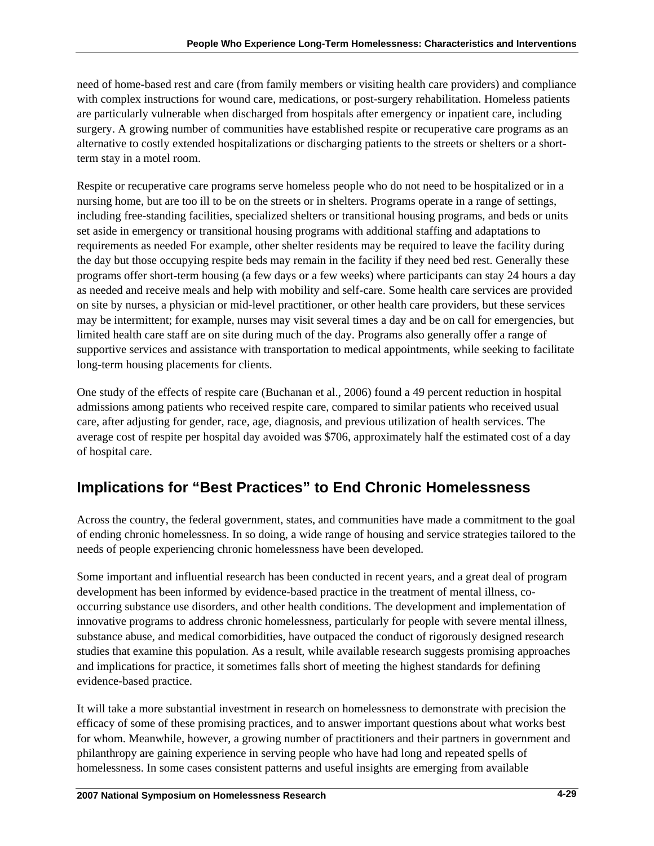need of home-based rest and care (from family members or visiting health care providers) and compliance with complex instructions for wound care, medications, or post-surgery rehabilitation. Homeless patients are particularly vulnerable when discharged from hospitals after emergency or inpatient care, including surgery. A growing number of communities have established respite or recuperative care programs as an alternative to costly extended hospitalizations or discharging patients to the streets or shelters or a shortterm stay in a motel room.

Respite or recuperative care programs serve homeless people who do not need to be hospitalized or in a nursing home, but are too ill to be on the streets or in shelters. Programs operate in a range of settings, including free-standing facilities, specialized shelters or transitional housing programs, and beds or units set aside in emergency or transitional housing programs with additional staffing and adaptations to requirements as needed For example, other shelter residents may be required to leave the facility during the day but those occupying respite beds may remain in the facility if they need bed rest. Generally these programs offer short-term housing (a few days or a few weeks) where participants can stay 24 hours a day as needed and receive meals and help with mobility and self-care. Some health care services are provided on site by nurses, a physician or mid-level practitioner, or other health care providers, but these services may be intermittent; for example, nurses may visit several times a day and be on call for emergencies, but limited health care staff are on site during much of the day. Programs also generally offer a range of supportive services and assistance with transportation to medical appointments, while seeking to facilitate long-term housing placements for clients.

One study of the effects of respite care (Buchanan et al., 2006) found a 49 percent reduction in hospital admissions among patients who received respite care, compared to similar patients who received usual care, after adjusting for gender, race, age, diagnosis, and previous utilization of health services. The average cost of respite per hospital day avoided was \$706, approximately half the estimated cost of a day of hospital care.

# **Implications for "Best Practices" to End Chronic Homelessness**

Across the country, the federal government, states, and communities have made a commitment to the goal of ending chronic homelessness. In so doing, a wide range of housing and service strategies tailored to the needs of people experiencing chronic homelessness have been developed.

Some important and influential research has been conducted in recent years, and a great deal of program development has been informed by evidence-based practice in the treatment of mental illness, cooccurring substance use disorders, and other health conditions. The development and implementation of innovative programs to address chronic homelessness, particularly for people with severe mental illness, substance abuse, and medical comorbidities, have outpaced the conduct of rigorously designed research studies that examine this population. As a result, while available research suggests promising approaches and implications for practice, it sometimes falls short of meeting the highest standards for defining evidence-based practice.

It will take a more substantial investment in research on homelessness to demonstrate with precision the efficacy of some of these promising practices, and to answer important questions about what works best for whom. Meanwhile, however, a growing number of practitioners and their partners in government and philanthropy are gaining experience in serving people who have had long and repeated spells of homelessness. In some cases consistent patterns and useful insights are emerging from available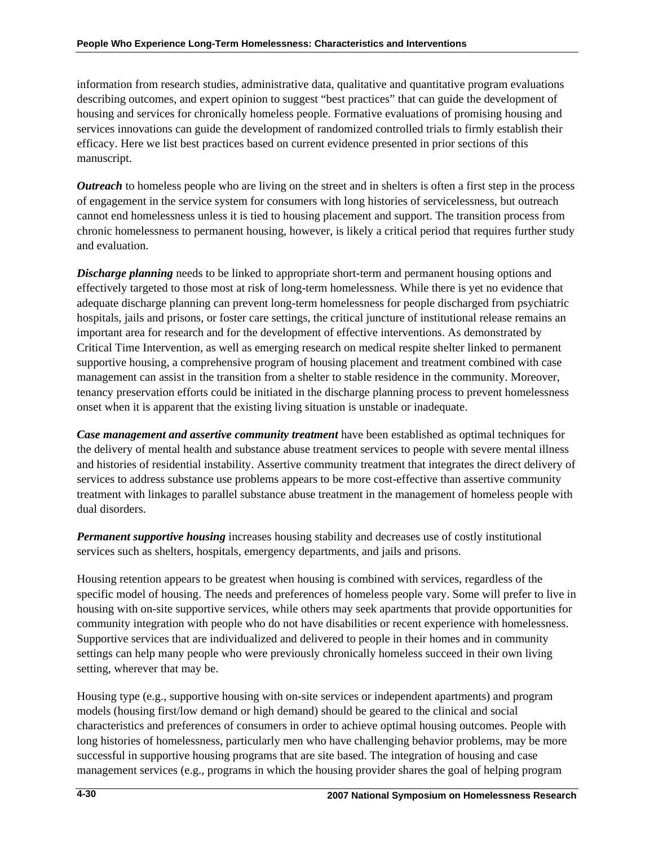information from research studies, administrative data, qualitative and quantitative program evaluations describing outcomes, and expert opinion to suggest "best practices" that can guide the development of housing and services for chronically homeless people. Formative evaluations of promising housing and services innovations can guide the development of randomized controlled trials to firmly establish their efficacy. Here we list best practices based on current evidence presented in prior sections of this manuscript.

*Outreach* to homeless people who are living on the street and in shelters is often a first step in the process of engagement in the service system for consumers with long histories of servicelessness, but outreach cannot end homelessness unless it is tied to housing placement and support. The transition process from chronic homelessness to permanent housing, however, is likely a critical period that requires further study and evaluation.

**Discharge planning** needs to be linked to appropriate short-term and permanent housing options and effectively targeted to those most at risk of long-term homelessness. While there is yet no evidence that adequate discharge planning can prevent long-term homelessness for people discharged from psychiatric hospitals, jails and prisons, or foster care settings, the critical juncture of institutional release remains an important area for research and for the development of effective interventions. As demonstrated by Critical Time Intervention, as well as emerging research on medical respite shelter linked to permanent supportive housing, a comprehensive program of housing placement and treatment combined with case management can assist in the transition from a shelter to stable residence in the community. Moreover, tenancy preservation efforts could be initiated in the discharge planning process to prevent homelessness onset when it is apparent that the existing living situation is unstable or inadequate.

*Case management and assertive community treatment* have been established as optimal techniques for the delivery of mental health and substance abuse treatment services to people with severe mental illness and histories of residential instability. Assertive community treatment that integrates the direct delivery of services to address substance use problems appears to be more cost-effective than assertive community treatment with linkages to parallel substance abuse treatment in the management of homeless people with dual disorders.

*Permanent supportive housing* increases housing stability and decreases use of costly institutional services such as shelters, hospitals, emergency departments, and jails and prisons.

Housing retention appears to be greatest when housing is combined with services, regardless of the specific model of housing. The needs and preferences of homeless people vary. Some will prefer to live in housing with on-site supportive services, while others may seek apartments that provide opportunities for community integration with people who do not have disabilities or recent experience with homelessness. Supportive services that are individualized and delivered to people in their homes and in community settings can help many people who were previously chronically homeless succeed in their own living setting, wherever that may be.

Housing type (e.g., supportive housing with on-site services or independent apartments) and program models (housing first/low demand or high demand) should be geared to the clinical and social characteristics and preferences of consumers in order to achieve optimal housing outcomes. People with long histories of homelessness, particularly men who have challenging behavior problems, may be more successful in supportive housing programs that are site based. The integration of housing and case management services (e.g., programs in which the housing provider shares the goal of helping program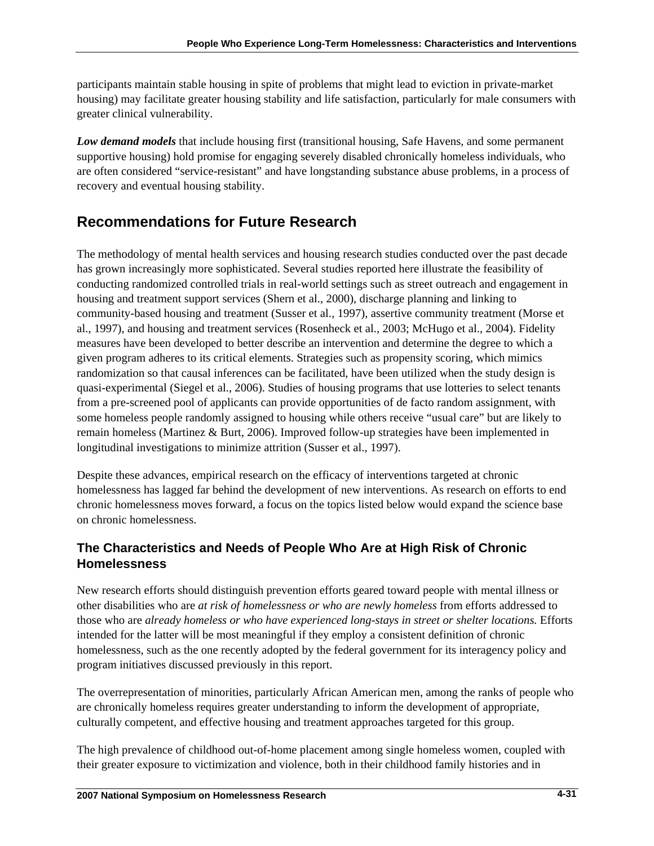participants maintain stable housing in spite of problems that might lead to eviction in private-market housing) may facilitate greater housing stability and life satisfaction, particularly for male consumers with greater clinical vulnerability.

*Low demand models* that include housing first (transitional housing, Safe Havens, and some permanent supportive housing) hold promise for engaging severely disabled chronically homeless individuals, who are often considered "service-resistant" and have longstanding substance abuse problems, in a process of recovery and eventual housing stability.

# **Recommendations for Future Research**

The methodology of mental health services and housing research studies conducted over the past decade has grown increasingly more sophisticated. Several studies reported here illustrate the feasibility of conducting randomized controlled trials in real-world settings such as street outreach and engagement in housing and treatment support services (Shern et al., 2000), discharge planning and linking to community-based housing and treatment (Susser et al., 1997), assertive community treatment (Morse et al., 1997), and housing and treatment services (Rosenheck et al., 2003; McHugo et al., 2004). Fidelity measures have been developed to better describe an intervention and determine the degree to which a given program adheres to its critical elements. Strategies such as propensity scoring, which mimics randomization so that causal inferences can be facilitated, have been utilized when the study design is quasi-experimental (Siegel et al., 2006). Studies of housing programs that use lotteries to select tenants from a pre-screened pool of applicants can provide opportunities of de facto random assignment, with some homeless people randomly assigned to housing while others receive "usual care" but are likely to remain homeless (Martinez & Burt, 2006). Improved follow-up strategies have been implemented in longitudinal investigations to minimize attrition (Susser et al., 1997).

Despite these advances, empirical research on the efficacy of interventions targeted at chronic homelessness has lagged far behind the development of new interventions. As research on efforts to end chronic homelessness moves forward, a focus on the topics listed below would expand the science base on chronic homelessness.

# **The Characteristics and Needs of People Who Are at High Risk of Chronic Homelessness**

New research efforts should distinguish prevention efforts geared toward people with mental illness or other disabilities who are *at risk of homelessness or who are newly homeless* from efforts addressed to those who are *already homeless or who have experienced long-stays in street or shelter locations.* Efforts intended for the latter will be most meaningful if they employ a consistent definition of chronic homelessness, such as the one recently adopted by the federal government for its interagency policy and program initiatives discussed previously in this report.

The overrepresentation of minorities, particularly African American men, among the ranks of people who are chronically homeless requires greater understanding to inform the development of appropriate, culturally competent, and effective housing and treatment approaches targeted for this group.

The high prevalence of childhood out-of-home placement among single homeless women, coupled with their greater exposure to victimization and violence, both in their childhood family histories and in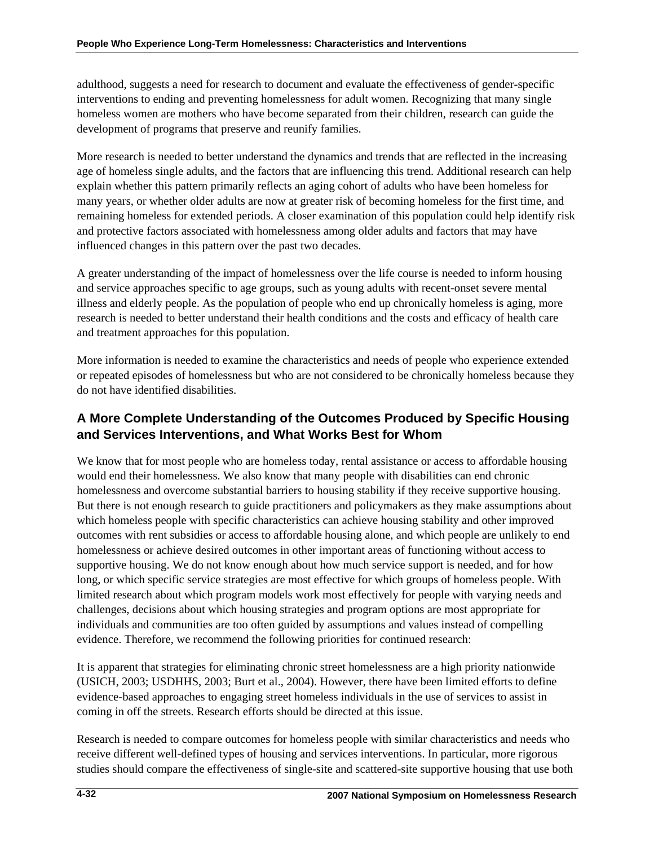adulthood, suggests a need for research to document and evaluate the effectiveness of gender-specific interventions to ending and preventing homelessness for adult women. Recognizing that many single homeless women are mothers who have become separated from their children, research can guide the development of programs that preserve and reunify families.

More research is needed to better understand the dynamics and trends that are reflected in the increasing age of homeless single adults, and the factors that are influencing this trend. Additional research can help explain whether this pattern primarily reflects an aging cohort of adults who have been homeless for many years, or whether older adults are now at greater risk of becoming homeless for the first time, and remaining homeless for extended periods. A closer examination of this population could help identify risk and protective factors associated with homelessness among older adults and factors that may have influenced changes in this pattern over the past two decades.

A greater understanding of the impact of homelessness over the life course is needed to inform housing and service approaches specific to age groups, such as young adults with recent-onset severe mental illness and elderly people. As the population of people who end up chronically homeless is aging, more research is needed to better understand their health conditions and the costs and efficacy of health care and treatment approaches for this population.

More information is needed to examine the characteristics and needs of people who experience extended or repeated episodes of homelessness but who are not considered to be chronically homeless because they do not have identified disabilities.

# **A More Complete Understanding of the Outcomes Produced by Specific Housing and Services Interventions, and What Works Best for Whom**

We know that for most people who are homeless today, rental assistance or access to affordable housing would end their homelessness. We also know that many people with disabilities can end chronic homelessness and overcome substantial barriers to housing stability if they receive supportive housing. But there is not enough research to guide practitioners and policymakers as they make assumptions about which homeless people with specific characteristics can achieve housing stability and other improved outcomes with rent subsidies or access to affordable housing alone, and which people are unlikely to end homelessness or achieve desired outcomes in other important areas of functioning without access to supportive housing. We do not know enough about how much service support is needed, and for how long, or which specific service strategies are most effective for which groups of homeless people. With limited research about which program models work most effectively for people with varying needs and challenges, decisions about which housing strategies and program options are most appropriate for individuals and communities are too often guided by assumptions and values instead of compelling evidence. Therefore, we recommend the following priorities for continued research:

It is apparent that strategies for eliminating chronic street homelessness are a high priority nationwide (USICH, 2003; USDHHS, 2003; Burt et al., 2004). However, there have been limited efforts to define evidence-based approaches to engaging street homeless individuals in the use of services to assist in coming in off the streets. Research efforts should be directed at this issue.

Research is needed to compare outcomes for homeless people with similar characteristics and needs who receive different well-defined types of housing and services interventions. In particular, more rigorous studies should compare the effectiveness of single-site and scattered-site supportive housing that use both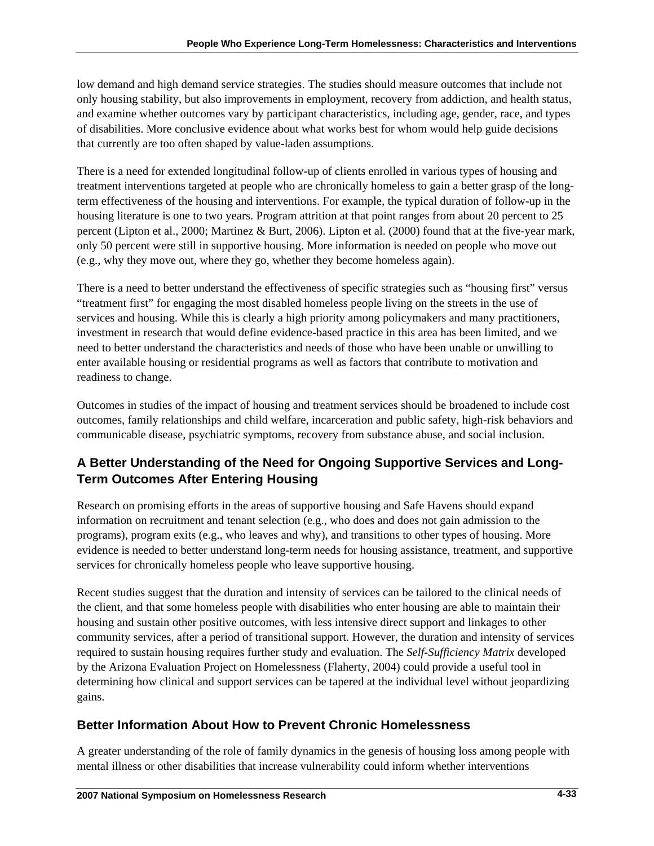low demand and high demand service strategies. The studies should measure outcomes that include not only housing stability, but also improvements in employment, recovery from addiction, and health status, and examine whether outcomes vary by participant characteristics, including age, gender, race, and types of disabilities. More conclusive evidence about what works best for whom would help guide decisions that currently are too often shaped by value-laden assumptions.

There is a need for extended longitudinal follow-up of clients enrolled in various types of housing and treatment interventions targeted at people who are chronically homeless to gain a better grasp of the longterm effectiveness of the housing and interventions. For example, the typical duration of follow-up in the housing literature is one to two years. Program attrition at that point ranges from about 20 percent to 25 percent (Lipton et al., 2000; Martinez & Burt, 2006). Lipton et al. (2000) found that at the five-year mark, only 50 percent were still in supportive housing. More information is needed on people who move out (e.g., why they move out, where they go, whether they become homeless again).

There is a need to better understand the effectiveness of specific strategies such as "housing first" versus "treatment first" for engaging the most disabled homeless people living on the streets in the use of services and housing. While this is clearly a high priority among policymakers and many practitioners, investment in research that would define evidence-based practice in this area has been limited, and we need to better understand the characteristics and needs of those who have been unable or unwilling to enter available housing or residential programs as well as factors that contribute to motivation and readiness to change.

Outcomes in studies of the impact of housing and treatment services should be broadened to include cost outcomes, family relationships and child welfare, incarceration and public safety, high-risk behaviors and communicable disease, psychiatric symptoms, recovery from substance abuse, and social inclusion.

# **A Better Understanding of the Need for Ongoing Supportive Services and Long-Term Outcomes After Entering Housing**

Research on promising efforts in the areas of supportive housing and Safe Havens should expand information on recruitment and tenant selection (e.g., who does and does not gain admission to the programs), program exits (e.g., who leaves and why), and transitions to other types of housing. More evidence is needed to better understand long-term needs for housing assistance, treatment, and supportive services for chronically homeless people who leave supportive housing.

Recent studies suggest that the duration and intensity of services can be tailored to the clinical needs of the client, and that some homeless people with disabilities who enter housing are able to maintain their housing and sustain other positive outcomes, with less intensive direct support and linkages to other community services, after a period of transitional support. However, the duration and intensity of services required to sustain housing requires further study and evaluation. The *Self-Sufficiency Matrix* developed by the Arizona Evaluation Project on Homelessness (Flaherty, 2004) could provide a useful tool in determining how clinical and support services can be tapered at the individual level without jeopardizing gains.

# **Better Information About How to Prevent Chronic Homelessness**

A greater understanding of the role of family dynamics in the genesis of housing loss among people with mental illness or other disabilities that increase vulnerability could inform whether interventions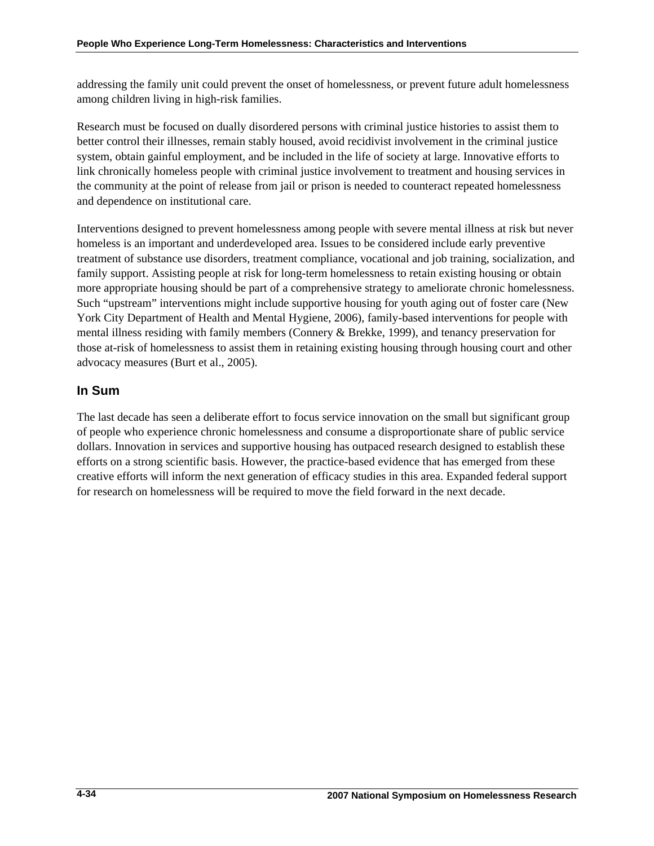addressing the family unit could prevent the onset of homelessness, or prevent future adult homelessness among children living in high-risk families.

Research must be focused on dually disordered persons with criminal justice histories to assist them to better control their illnesses, remain stably housed, avoid recidivist involvement in the criminal justice system, obtain gainful employment, and be included in the life of society at large. Innovative efforts to link chronically homeless people with criminal justice involvement to treatment and housing services in the community at the point of release from jail or prison is needed to counteract repeated homelessness and dependence on institutional care.

Interventions designed to prevent homelessness among people with severe mental illness at risk but never homeless is an important and underdeveloped area. Issues to be considered include early preventive treatment of substance use disorders, treatment compliance, vocational and job training, socialization, and family support. Assisting people at risk for long-term homelessness to retain existing housing or obtain more appropriate housing should be part of a comprehensive strategy to ameliorate chronic homelessness. Such "upstream" interventions might include supportive housing for youth aging out of foster care (New York City Department of Health and Mental Hygiene, 2006), family-based interventions for people with mental illness residing with family members (Connery & Brekke, 1999), and tenancy preservation for those at-risk of homelessness to assist them in retaining existing housing through housing court and other advocacy measures (Burt et al., 2005).

# **In Sum**

The last decade has seen a deliberate effort to focus service innovation on the small but significant group of people who experience chronic homelessness and consume a disproportionate share of public service dollars. Innovation in services and supportive housing has outpaced research designed to establish these efforts on a strong scientific basis. However, the practice-based evidence that has emerged from these creative efforts will inform the next generation of efficacy studies in this area. Expanded federal support for research on homelessness will be required to move the field forward in the next decade.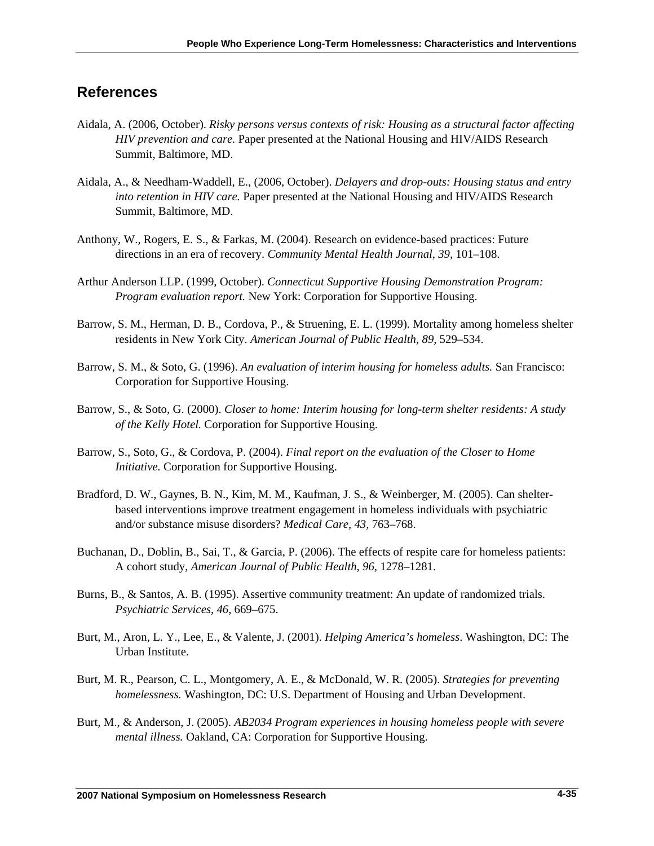# **References**

- Aidala, A. (2006, October). *Risky persons versus contexts of risk: Housing as a structural factor affecting HIV prevention and care.* Paper presented at the National Housing and HIV/AIDS Research Summit, Baltimore, MD.
- Aidala, A., & Needham-Waddell, E., (2006, October). *Delayers and drop-outs: Housing status and entry into retention in HIV care.* Paper presented at the National Housing and HIV/AIDS Research Summit, Baltimore, MD.
- Anthony, W., Rogers, E. S., & Farkas, M. (2004). Research on evidence-based practices: Future directions in an era of recovery. *Community Mental Health Journal*, *39,* 101–108.
- Arthur Anderson LLP. (1999, October). *Connecticut Supportive Housing Demonstration Program: Program evaluation report.* New York: Corporation for Supportive Housing.
- Barrow, S. M., Herman, D. B., Cordova, P., & Struening, E. L. (1999). Mortality among homeless shelter residents in New York City. *American Journal of Public Health, 89,* 529–534.
- Barrow, S. M., & Soto, G. (1996). *An evaluation of interim housing for homeless adults.* San Francisco: Corporation for Supportive Housing.
- Barrow, S., & Soto, G. (2000). *Closer to home: Interim housing for long-term shelter residents: A study of the Kelly Hotel.* Corporation for Supportive Housing.
- Barrow, S., Soto, G., & Cordova, P. (2004). *Final report on the evaluation of the Closer to Home Initiative.* Corporation for Supportive Housing.
- Bradford, D. W., Gaynes, B. N., Kim, M. M., Kaufman, J. S., & Weinberger, M. (2005). Can shelterbased interventions improve treatment engagement in homeless individuals with psychiatric and/or substance misuse disorders? *Medical Care, 43,* 763–768.
- Buchanan, D., Doblin, B., Sai, T., & Garcia, P. (2006). The effects of respite care for homeless patients: A cohort study, *American Journal of Public Health, 96,* 1278–1281.
- Burns, B., & Santos, A. B. (1995). Assertive community treatment: An update of randomized trials. *Psychiatric Services, 46,* 669–675.
- Burt, M., Aron, L. Y., Lee, E., & Valente, J. (2001). *Helping America's homeless*. Washington, DC: The Urban Institute.
- Burt, M. R., Pearson, C. L., Montgomery, A. E., & McDonald, W. R. (2005). *Strategies for preventing homelessness.* Washington, DC: U.S. Department of Housing and Urban Development.
- Burt, M., & Anderson, J. (2005). *AB2034 Program experiences in housing homeless people with severe mental illness.* Oakland, CA: Corporation for Supportive Housing.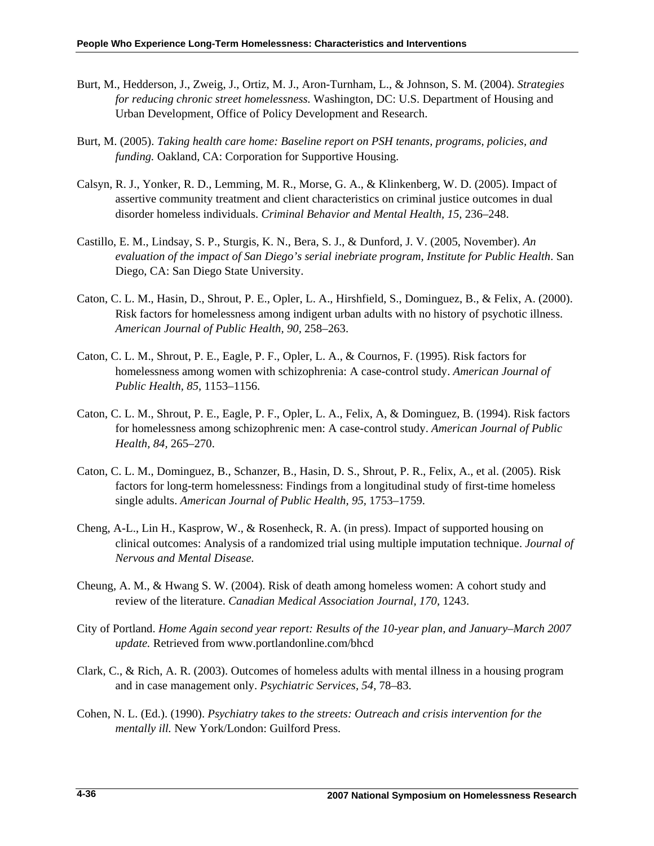- Burt, M., Hedderson, J., Zweig, J., Ortiz, M. J., Aron-Turnham, L., & Johnson, S. M. (2004). *Strategies for reducing chronic street homelessness.* Washington, DC: U.S. Department of Housing and Urban Development, Office of Policy Development and Research.
- Burt, M. (2005). *Taking health care home: Baseline report on PSH tenants, programs, policies, and funding.* Oakland, CA: Corporation for Supportive Housing.
- Calsyn, R. J., Yonker, R. D., Lemming, M. R., Morse, G. A., & Klinkenberg, W. D. (2005). Impact of assertive community treatment and client characteristics on criminal justice outcomes in dual disorder homeless individuals. *Criminal Behavior and Mental Health, 15,* 236–248.
- Castillo, E. M., Lindsay, S. P., Sturgis, K. N., Bera, S. J., & Dunford, J. V. (2005, November). *An evaluation of the impact of San Diego's serial inebriate program, Institute for Public Health*. San Diego, CA: San Diego State University.
- Caton, C. L. M., Hasin, D., Shrout, P. E., Opler, L. A., Hirshfield, S., Dominguez, B., & Felix, A. (2000). Risk factors for homelessness among indigent urban adults with no history of psychotic illness. *American Journal of Public Health, 90,* 258–263.
- Caton, C. L. M., Shrout, P. E., Eagle, P. F., Opler, L. A., & Cournos, F. (1995). Risk factors for homelessness among women with schizophrenia: A case-control study. *American Journal of Public Health, 85,* 1153–1156.
- Caton, C. L. M., Shrout, P. E., Eagle, P. F., Opler, L. A., Felix, A, & Dominguez, B. (1994). Risk factors for homelessness among schizophrenic men: A case-control study. *American Journal of Public Health, 84,* 265–270.
- Caton, C. L. M., Dominguez, B., Schanzer, B., Hasin, D. S., Shrout, P. R., Felix, A., et al. (2005). Risk factors for long-term homelessness: Findings from a longitudinal study of first-time homeless single adults. *American Journal of Public Health, 95,* 1753–1759.
- Cheng, A-L., Lin H., Kasprow, W., & Rosenheck, R. A. (in press). Impact of supported housing on clinical outcomes: Analysis of a randomized trial using multiple imputation technique. *Journal of Nervous and Mental Disease.*
- Cheung, A. M., & Hwang S. W. (2004). Risk of death among homeless women: A cohort study and review of the literature. *Canadian Medical Association Journal, 170,* 1243.
- City of Portland. *Home Again second year report: Results of the 10-year plan, and January–March 2007 update.* Retrieved from www.portlandonline.com/bhcd
- Clark, C., & Rich, A. R. (2003). Outcomes of homeless adults with mental illness in a housing program and in case management only. *Psychiatric Services, 54,* 78–83.
- Cohen, N. L. (Ed.). (1990). *Psychiatry takes to the streets: Outreach and crisis intervention for the mentally ill.* New York/London: Guilford Press.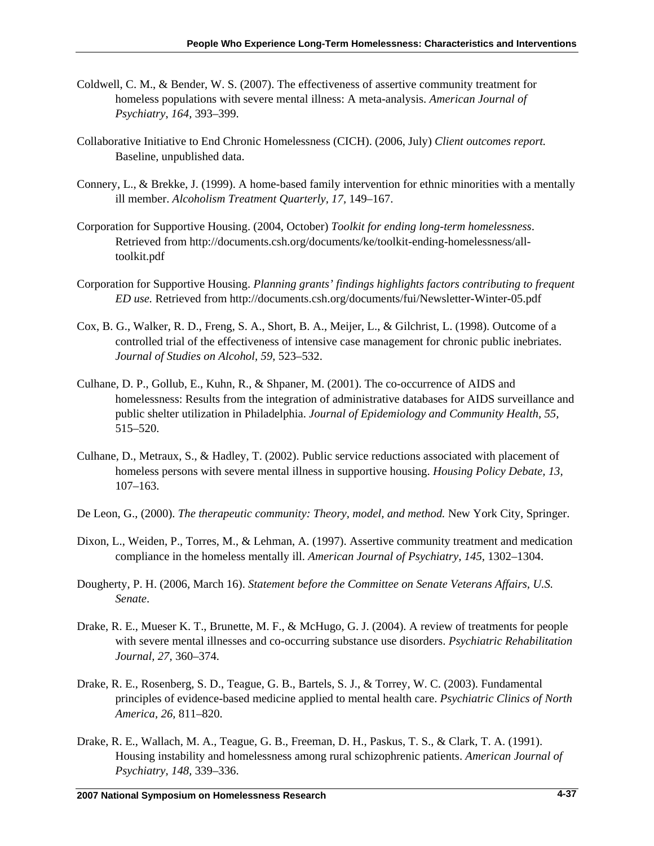- Coldwell, C. M., & Bender, W. S. (2007). The effectiveness of assertive community treatment for homeless populations with severe mental illness: A meta-analysis. *American Journal of Psychiatry*, *164,* 393–399.
- Collaborative Initiative to End Chronic Homelessness (CICH). (2006, July) *Client outcomes report.* Baseline, unpublished data.
- Connery, L., & Brekke, J. (1999). A home-based family intervention for ethnic minorities with a mentally ill member. *Alcoholism Treatment Quarterly, 17,* 149–167.
- Corporation for Supportive Housing. (2004, October) *Toolkit for ending long-term homelessness*. Retrieved from [http://documents.csh.org/documents/ke/toolkit-ending-homelessness/all](http://documents.csh.org/documents/ke/toolkit-ending-homelessness/all-toolkit.pdf)[toolkit.pdf](http://documents.csh.org/documents/ke/toolkit-ending-homelessness/all-toolkit.pdf)
- Corporation for Supportive Housing. *Planning grants' findings highlights factors contributing to frequent ED use.* Retrieved from<http://documents.csh.org/documents/fui/Newsletter-Winter-05.pdf>
- Cox, B. G., Walker, R. D., Freng, S. A., Short, B. A., Meijer, L., & Gilchrist, L. (1998). Outcome of a controlled trial of the effectiveness of intensive case management for chronic public inebriates. *Journal of Studies on Alcohol, 59,* 523–532.
- Culhane, D. P., Gollub, E., Kuhn, R., & Shpaner, M. (2001). The co-occurrence of AIDS and homelessness: Results from the integration of administrative databases for AIDS surveillance and public shelter utilization in Philadelphia. *Journal of Epidemiology and Community Health, 55,* 515–520.
- Culhane, D., Metraux, S., & Hadley, T. (2002). Public service reductions associated with placement of homeless persons with severe mental illness in supportive housing. *Housing Policy Debate, 13,* 107–163.
- De Leon, G., (2000). *The therapeutic community: Theory, model, and method.* New York City, Springer.
- Dixon, L., Weiden, P., Torres, M., & Lehman, A. (1997). Assertive community treatment and medication compliance in the homeless mentally ill. *American Journal of Psychiatry, 145,* 1302–1304.
- Dougherty, P. H. (2006, March 16). *Statement before the Committee on Senate Veterans Affairs, U.S. Senate*.
- Drake, R. E., Mueser K. T., Brunette, M. F., & McHugo, G. J. (2004). A review of treatments for people with severe mental illnesses and co-occurring substance use disorders. *Psychiatric Rehabilitation Journal, 27,* 360–374.
- Drake, R. E., Rosenberg, S. D., Teague, G. B., Bartels, S. J., & Torrey, W. C. (2003). Fundamental principles of evidence-based medicine applied to mental health care. *Psychiatric Clinics of North America, 26,* 811–820.
- Drake, R. E., Wallach, M. A., Teague, G. B., Freeman, D. H., Paskus, T. S., & Clark, T. A. (1991). Housing instability and homelessness among rural schizophrenic patients. *American Journal of Psychiatry, 148,* 339–336.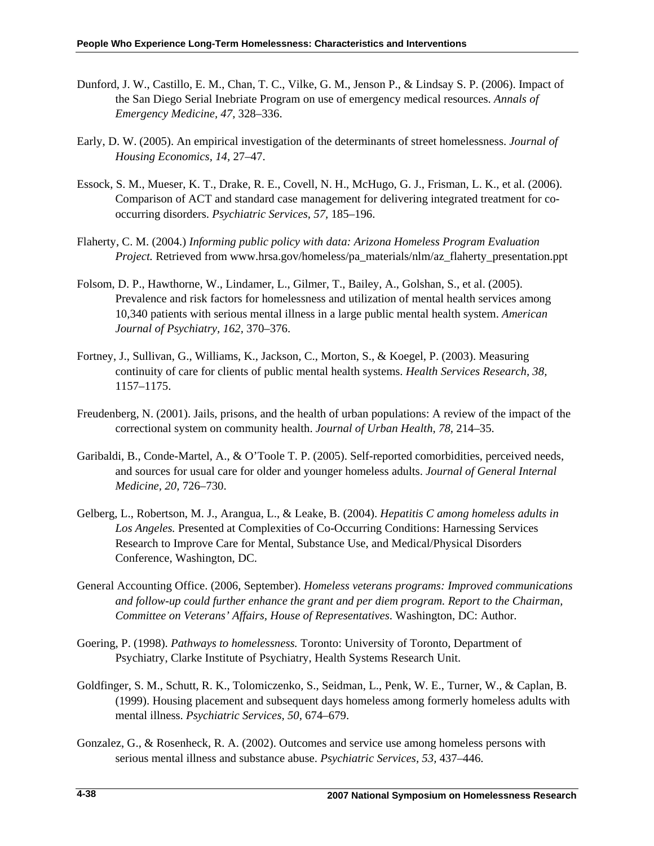- Dunford, J. W., Castillo, E. M., Chan, T. C., Vilke, G. M., Jenson P., & Lindsay S. P. (2006). Impact of the San Diego Serial Inebriate Program on use of emergency medical resources. *Annals of Emergency Medicine, 47,* 328–336.
- Early, D. W. (2005). An empirical investigation of the determinants of street homelessness. *Journal of Housing Economics, 14,* 27–47.
- Essock, S. M., Mueser, K. T., Drake, R. E., Covell, N. H., McHugo, G. J., Frisman, L. K., et al. (2006). Comparison of ACT and standard case management for delivering integrated treatment for cooccurring disorders. *Psychiatric Services, 57,* 185–196.
- Flaherty, C. M. (2004.) *Informing public policy with data: Arizona Homeless Program Evaluation Project.* Retrieved from www.hrsa.gov/homeless/pa\_materials/nlm/az\_flaherty\_presentation.ppt
- Folsom, D. P., Hawthorne, W., Lindamer, L., Gilmer, T., Bailey, A., Golshan, S., et al. (2005). Prevalence and risk factors for homelessness and utilization of mental health services among 10,340 patients with serious mental illness in a large public mental health system. *American Journal of Psychiatry, 162,* 370–376.
- Fortney, J., Sullivan, G., Williams, K., Jackson, C., Morton, S., & Koegel, P. (2003). Measuring continuity of care for clients of public mental health systems. *Health Services Research, 38,* 1157–1175.
- Freudenberg, N. (2001). Jails, prisons, and the health of urban populations: A review of the impact of the correctional system on community health. *Journal of Urban Health, 78,* 214–35.
- Garibaldi, B., Conde-Martel, A., & O'Toole T. P. (2005). Self-reported comorbidities, perceived needs, and sources for usual care for older and younger homeless adults. *Journal of General Internal Medicine, 20,* 726–730.
- Gelberg, L., Robertson, M. J., Arangua, L., & Leake, B. (2004). *Hepatitis C among homeless adults in Los Angeles.* Presented at Complexities of Co-Occurring Conditions: Harnessing Services Research to Improve Care for Mental, Substance Use, and Medical/Physical Disorders Conference, Washington, DC.
- General Accounting Office. (2006, September). *Homeless veterans programs: Improved communications and follow-up could further enhance the grant and per diem program. Report to the Chairman, Committee on Veterans' Affairs, House of Representatives*. Washington, DC: Author.
- Goering, P. (1998). *Pathways to homelessness.* Toronto: University of Toronto, Department of Psychiatry, Clarke Institute of Psychiatry, Health Systems Research Unit.
- Goldfinger, S. M., Schutt, R. K., Tolomiczenko, S., Seidman, L., Penk, W. E., Turner, W., & Caplan, B. (1999). Housing placement and subsequent days homeless among formerly homeless adults with mental illness. *Psychiatric Services, 50,* 674–679.
- Gonzalez, G., & Rosenheck, R. A. (2002). Outcomes and service use among homeless persons with serious mental illness and substance abuse. *Psychiatric Services, 53,* 437–446.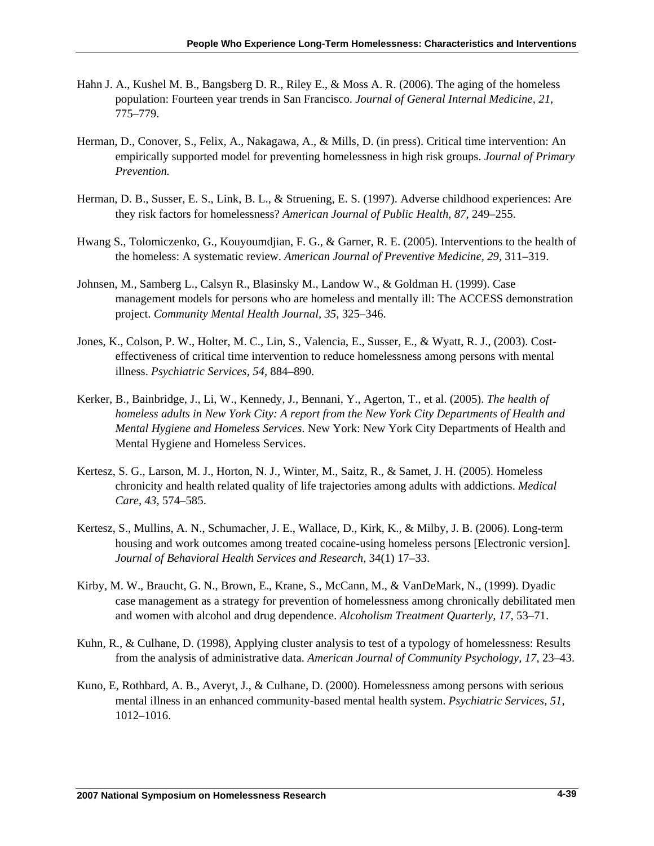- Hahn J. A., Kushel M. B., Bangsberg D. R., Riley E., & Moss A. R. (2006). The aging of the homeless population: Fourteen year trends in San Francisco. *Journal of General Internal Medicine, 21,*  775–779.
- Herman, D., Conover, S., Felix, A., Nakagawa, A., & Mills, D. (in press). Critical time intervention: An empirically supported model for preventing homelessness in high risk groups. *Journal of Primary Prevention.*
- Herman, D. B., Susser, E. S., Link, B. L., & Struening, E. S. (1997). Adverse childhood experiences: Are they risk factors for homelessness? *American Journal of Public Health, 87,* 249–255.
- Hwang S., Tolomiczenko, G., Kouyoumdjian, F. G., & Garner, R. E. (2005). Interventions to the health of the homeless: A systematic review. *American Journal of Preventive Medicine, 29,* 311–319.
- Johnsen, M., Samberg L., Calsyn R., Blasinsky M., Landow W., & Goldman H. (1999). Case management models for persons who are homeless and mentally ill: The ACCESS demonstration project. *Community Mental Health Journal, 35,* 325–346.
- Jones, K., Colson, P. W., Holter, M. C., Lin, S., Valencia, E., Susser, E., & Wyatt, R. J., (2003). Costeffectiveness of critical time intervention to reduce homelessness among persons with mental illness. *Psychiatric Services, 54,* 884–890.
- Kerker, B., Bainbridge, J., Li, W., Kennedy, J., Bennani, Y., Agerton, T., et al. (2005). *The health of homeless adults in New York City: A report from the New York City Departments of Health and Mental Hygiene and Homeless Services*. New York: New York City Departments of Health and Mental Hygiene and Homeless Services.
- Kertesz, S. G., Larson, M. J., Horton, N. J., Winter, M., Saitz, R., & Samet, J. H. (2005). Homeless chronicity and health related quality of life trajectories among adults with addictions. *Medical Care, 43,* 574–585.
- Kertesz, S., Mullins, A. N., Schumacher, J. E., Wallace, D., Kirk, K., & Milby, J. B. (2006). Long-term housing and work outcomes among treated cocaine-using homeless persons [Electronic version]. *Journal of Behavioral Health Services and Research,* 34(1) 17–33.
- Kirby, M. W., Braucht, G. N., Brown, E., Krane, S., McCann, M., & VanDeMark, N., (1999). Dyadic case management as a strategy for prevention of homelessness among chronically debilitated men and women with alcohol and drug dependence. *Alcoholism Treatment Quarterly, 17,* 53–71.
- Kuhn, R., & Culhane, D. (1998), Applying cluster analysis to test of a typology of homelessness: Results from the analysis of administrative data. *American Journal of Community Psychology, 17,* 23–43.
- Kuno, E, Rothbard, A. B., Averyt, J., & Culhane, D. (2000). Homelessness among persons with serious mental illness in an enhanced community-based mental health system. *Psychiatric Services, 51,* 1012–1016.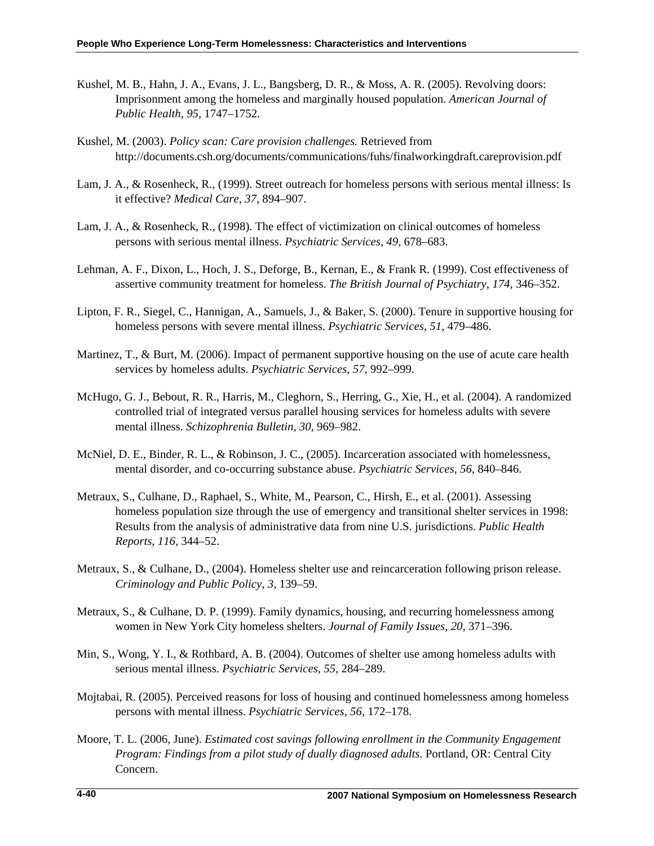- Kushel, M. B., Hahn, J. A., Evans, J. L., Bangsberg, D. R., & Moss, A. R. (2005). Revolving doors: Imprisonment among the homeless and marginally housed population. *American Journal of Public Health*, *95,* 1747–1752.
- Kushel, M. (2003). *Policy scan: Care provision challenges.* Retrieved from http://documents.csh.org/documents/communications/fuhs/finalworkingdraft.careprovision.pdf
- Lam, J. A., & Rosenheck, R., (1999). Street outreach for homeless persons with serious mental illness: Is it effective? *Medical Care, 37,* 894–907.
- Lam, J. A., & Rosenheck, R., (1998). The effect of victimization on clinical outcomes of homeless persons with serious mental illness. *Psychiatric Services, 49,* 678–683.
- Lehman, A. F., Dixon, L., Hoch, J. S., Deforge, B., Kernan, E., & Frank R. (1999). Cost effectiveness of assertive community treatment for homeless. *The British Journal of Psychiatry, 174,* 346–352.
- Lipton, F. R., Siegel, C., Hannigan, A., Samuels, J., & Baker, S. (2000). Tenure in supportive housing for homeless persons with severe mental illness. *Psychiatric Services, 51,* 479–486.
- Martinez, T., & Burt, M. (2006). Impact of permanent supportive housing on the use of acute care health services by homeless adults. *Psychiatric Services, 57,* 992–999.
- McHugo, G. J., Bebout, R. R., Harris, M., Cleghorn, S., Herring, G., Xie, H., et al. (2004). A randomized controlled trial of integrated versus parallel housing services for homeless adults with severe mental illness. *Schizophrenia Bulletin, 30,* 969–982.
- McNiel, D. E., Binder, R. L., & Robinson, J. C., (2005). Incarceration associated with homelessness, mental disorder, and co-occurring substance abuse. *Psychiatric Services, 56,* 840–846.
- Metraux, S., Culhane, D., Raphael, S., White, M., Pearson, C., Hirsh, E., et al. (2001). Assessing homeless population size through the use of emergency and transitional shelter services in 1998: Results from the analysis of administrative data from nine U.S. jurisdictions. *Public Health Reports, 116,* 344–52.
- Metraux, S., & Culhane, D., (2004). Homeless shelter use and reincarceration following prison release. *Criminology and Public Policy, 3,* 139–59.
- Metraux, S., & Culhane, D. P. (1999). Family dynamics, housing, and recurring homelessness among women in New York City homeless shelters. *Journal of Family Issues, 20,* 371–396.
- Min, S., Wong, Y. I., & Rothbard, A. B. (2004). Outcomes of shelter use among homeless adults with serious mental illness. *Psychiatric Services, 55,* 284–289.
- Mojtabai, R. (2005). Perceived reasons for loss of housing and continued homelessness among homeless persons with mental illness. *Psychiatric Services, 56,* 172–178.
- Moore, T. L. (2006, June). *Estimated cost savings following enrollment in the Community Engagement Program: Findings from a pilot study of dually diagnosed adults.* Portland, OR: Central City Concern.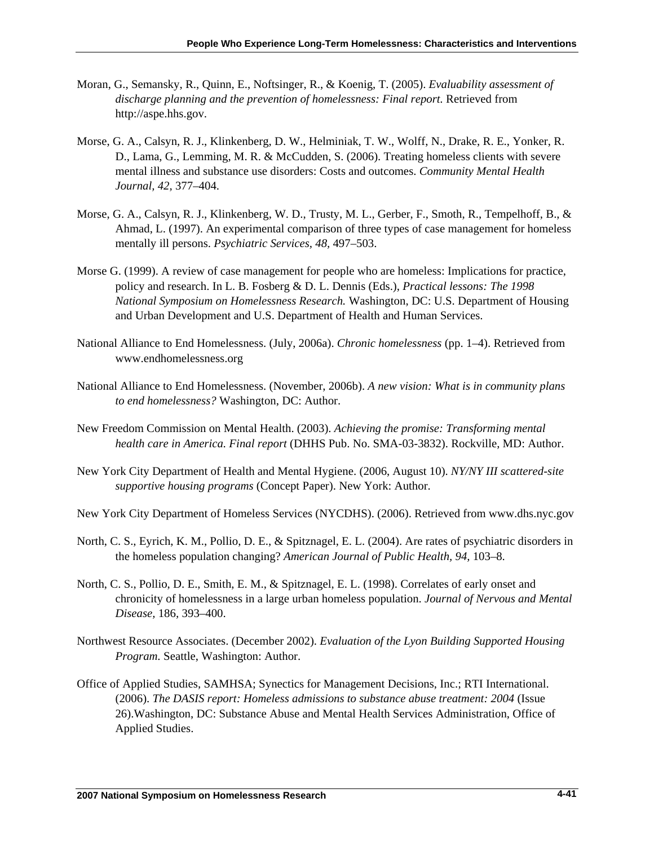- Moran, G., Semansky, R., Quinn, E., Noftsinger, R., & Koenig, T. (2005). *Evaluability assessment of discharge planning and the prevention of homelessness: Final report.* Retrieved from [http://aspe.hhs.gov](http://aspe.hhs.gov/).
- Morse, G. A., Calsyn, R. J., Klinkenberg, D. W., Helminiak, T. W., Wolff, N., Drake, R. E., Yonker, R. D., Lama, G., Lemming, M. R. & McCudden, S. (2006). Treating homeless clients with severe mental illness and substance use disorders: Costs and outcomes. *Community Mental Health Journal, 42,* 377–404.
- Morse, G. A., Calsyn, R. J., Klinkenberg, W. D., Trusty, M. L., Gerber, F., Smoth, R., Tempelhoff, B., & Ahmad, L. (1997). An experimental comparison of three types of case management for homeless mentally ill persons. *Psychiatric Services, 48,* 497–503.
- Morse G. (1999). A review of case management for people who are homeless: Implications for practice, policy and research. In L. B. Fosberg & D. L. Dennis (Eds.), *Practical lessons: The 1998 National Symposium on Homelessness Research.* Washington, DC: U.S. Department of Housing and Urban Development and U.S. Department of Health and Human Services.
- National Alliance to End Homelessness. (July, 2006a). *Chronic homelessness* (pp. 1–4). Retrieved from [www.endhomelessness.org](http://www.endhomelessness.org/)
- National Alliance to End Homelessness. (November, 2006b). *A new vision: What is in community plans to end homelessness?* Washington, DC: Author.
- New Freedom Commission on Mental Health. (2003). *Achieving the promise: Transforming mental health care in America. Final report* (DHHS Pub. No. SMA-03-3832). Rockville, MD: Author.
- New York City Department of Health and Mental Hygiene. (2006, August 10). *NY/NY III scattered-site supportive housing programs* (Concept Paper). New York: Author.
- New York City Department of Homeless Services (NYCDHS). (2006). Retrieved from [www.dhs.nyc.gov](http://www.dhs.nyc.gov/)
- North, C. S., Eyrich, K. M., Pollio, D. E., & Spitznagel, E. L. (2004). Are rates of psychiatric disorders in the homeless population changing? *American Journal of Public Health, 94,* 103–8.
- North, C. S., Pollio, D. E., Smith, E. M., & Spitznagel, E. L. (1998). Correlates of early onset and chronicity of homelessness in a large urban homeless population. *Journal of Nervous and Mental Disease,* 186*,* 393–400.
- Northwest Resource Associates. (December 2002). *Evaluation of the Lyon Building Supported Housing Program.* Seattle, Washington: Author.
- Office of Applied Studies, SAMHSA; Synectics for Management Decisions, Inc.; RTI International. (2006). *The DASIS report: Homeless admissions to substance abuse treatment: 2004* (Issue 26).Washington, DC: Substance Abuse and Mental Health Services Administration, Office of Applied Studies.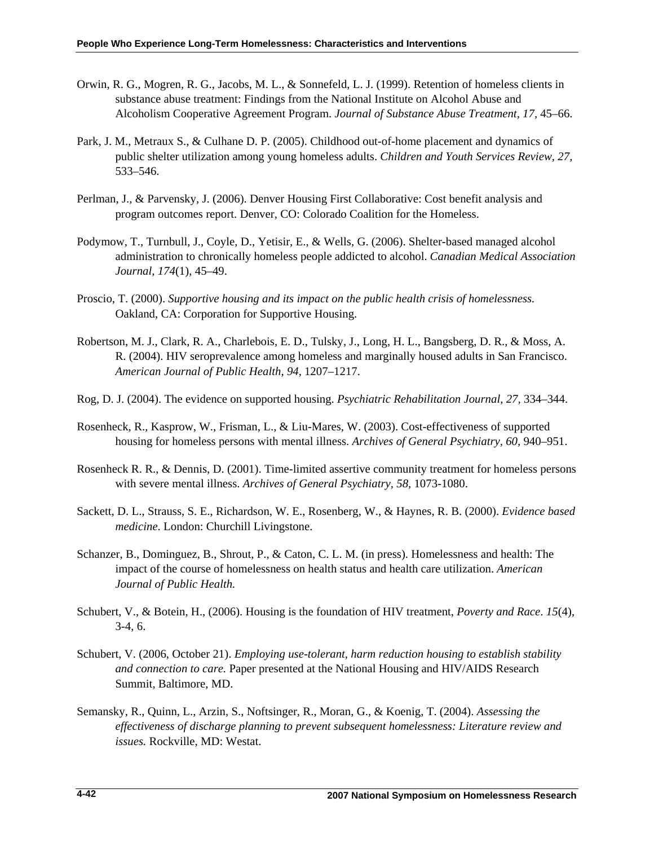- Orwin, R. G., Mogren, R. G., Jacobs, M. L., & Sonnefeld, L. J. (1999). Retention of homeless clients in substance abuse treatment: Findings from the National Institute on Alcohol Abuse and Alcoholism Cooperative Agreement Program. *Journal of Substance Abuse Treatment, 17,* 45–66.
- Park, J. M., Metraux S., & Culhane D. P. (2005). Childhood out-of-home placement and dynamics of public shelter utilization among young homeless adults. *Children and Youth Services Review, 27,*  533–546.
- Perlman, J., & Parvensky, J. (2006). Denver Housing First Collaborative: Cost benefit analysis and program outcomes report. Denver, CO: Colorado Coalition for the Homeless.
- Podymow, T., Turnbull, J., Coyle, D., Yetisir, E., & Wells, G. (2006). Shelter-based managed alcohol administration to chronically homeless people addicted to alcohol. *Canadian Medical Association Journal, 174*(1), 45–49.
- Proscio, T. (2000). *Supportive housing and its impact on the public health crisis of homelessness.* Oakland, CA: Corporation for Supportive Housing.
- Robertson, M. J., Clark, R. A., Charlebois, E. D., Tulsky, J., Long, H. L., Bangsberg, D. R., & Moss, A. R. (2004). HIV seroprevalence among homeless and marginally housed adults in San Francisco. *American Journal of Public Health, 94,* 1207–1217.
- Rog, D. J. (2004). The evidence on supported housing. *Psychiatric Rehabilitation Journal, 27,* 334–344.
- Rosenheck, R., Kasprow, W., Frisman, L., & Liu-Mares, W. (2003). Cost-effectiveness of supported housing for homeless persons with mental illness. *Archives of General Psychiatry, 60,* 940–951.
- Rosenheck R. R., & Dennis, D. (2001). Time-limited assertive community treatment for homeless persons with severe mental illness. *Archives of General Psychiatry, 58,* 1073-1080.
- Sackett, D. L., Strauss, S. E., Richardson, W. E., Rosenberg, W., & Haynes, R. B. (2000). *Evidence based medicine*. London: Churchill Livingstone.
- Schanzer, B., Dominguez, B., Shrout, P., & Caton, C. L. M. (in press). Homelessness and health: The impact of the course of homelessness on health status and health care utilization. *American Journal of Public Health.*
- Schubert, V., & Botein, H., (2006). Housing is the foundation of HIV treatment, *Poverty and Race*. *15*(4), 3-4, 6.
- Schubert, V. (2006, October 21). *Employing use-tolerant, harm reduction housing to establish stability and connection to care.* Paper presented at the National Housing and HIV/AIDS Research Summit, Baltimore, MD.
- Semansky, R., Quinn, L., Arzin, S., Noftsinger, R., Moran, G., & Koenig, T. (2004). *Assessing the effectiveness of discharge planning to prevent subsequent homelessness: Literature review and issues.* Rockville, MD: Westat.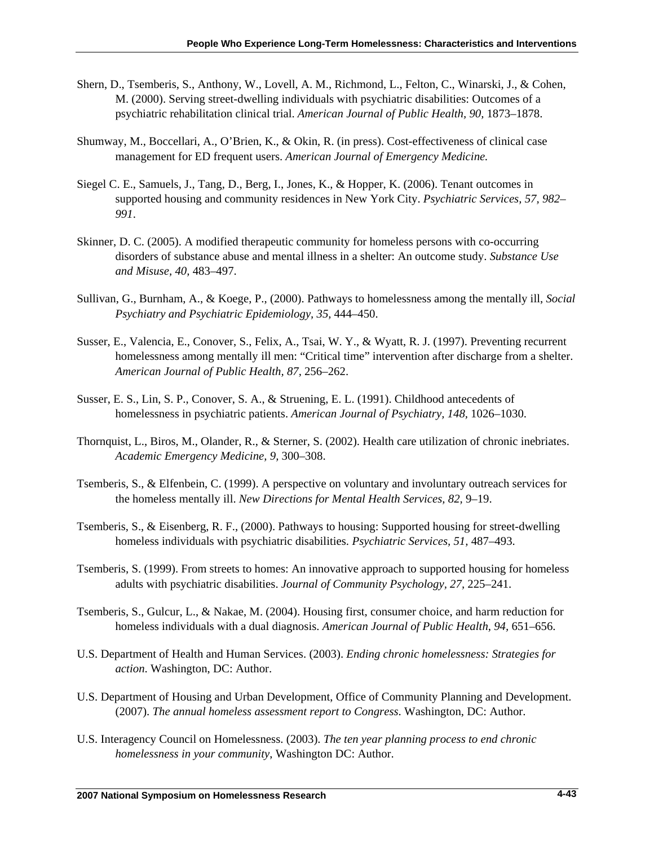- Shern, D., Tsemberis, S., Anthony, W., Lovell, A. M., Richmond, L., Felton, C., Winarski, J., & Cohen, M. (2000). Serving street-dwelling individuals with psychiatric disabilities: Outcomes of a psychiatric rehabilitation clinical trial. *American Journal of Public Health, 90,* 1873–1878.
- Shumway, M., Boccellari, A., O'Brien, K., & Okin, R. (in press). Cost-effectiveness of clinical case management for ED frequent users. *American Journal of Emergency Medicine.*
- Siegel C. E., Samuels, J., Tang, D., Berg, I., Jones, K., & Hopper, K. (2006). Tenant outcomes in supported housing and community residences in New York City. *Psychiatric Services, 57, 982– 991*.
- Skinner, D. C. (2005). A modified therapeutic community for homeless persons with co-occurring disorders of substance abuse and mental illness in a shelter: An outcome study. *Substance Use and Misuse, 40,* 483–497.
- Sullivan, G., Burnham, A., & Koege, P., (2000). Pathways to homelessness among the mentally ill, *Social Psychiatry and Psychiatric Epidemiology, 35,* 444–450.
- Susser, E., Valencia, E., Conover, S., Felix, A., Tsai, W. Y., & Wyatt, R. J. (1997). Preventing recurrent homelessness among mentally ill men: "Critical time" intervention after discharge from a shelter. *American Journal of Public Health, 87,* 256–262.
- Susser, E. S., Lin, S. P., Conover, S. A., & Struening, E. L. (1991). Childhood antecedents of homelessness in psychiatric patients. *American Journal of Psychiatry, 148,* 1026–1030.
- Thornquist, L., Biros, M., Olander, R., & Sterner, S. (2002). Health care utilization of chronic inebriates. *Academic Emergency Medicine, 9,* 300–308.
- Tsemberis, S., & Elfenbein, C. (1999). A perspective on voluntary and involuntary outreach services for the homeless mentally ill. *New Directions for Mental Health Services, 82,* 9–19.
- Tsemberis, S., & Eisenberg, R. F., (2000). Pathways to housing: Supported housing for street-dwelling homeless individuals with psychiatric disabilities. *Psychiatric Services, 51,* 487–493.
- Tsemberis, S. (1999). From streets to homes: An innovative approach to supported housing for homeless adults with psychiatric disabilities. *Journal of Community Psychology, 27,* 225–241.
- Tsemberis, S., Gulcur, L., & Nakae, M. (2004). Housing first, consumer choice, and harm reduction for homeless individuals with a dual diagnosis. *American Journal of Public Health*, *94,* 651–656.
- U.S. Department of Health and Human Services. (2003). *Ending chronic homelessness: Strategies for action*. Washington, DC: Author.
- U.S. Department of Housing and Urban Development, Office of Community Planning and Development. (2007). *The annual homeless assessment report to Congress*. Washington, DC: Author.
- U.S. Interagency Council on Homelessness. (2003). *The ten year planning process to end chronic homelessness in your community*, Washington DC: Author.